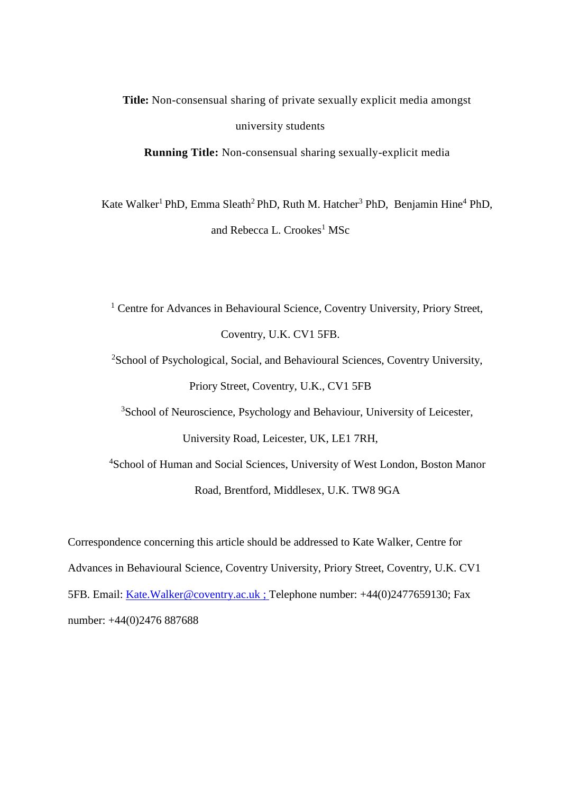**Title:** Non-consensual sharing of private sexually explicit media amongst university students

**Running Title:** Non-consensual sharing sexually-explicit media

Kate Walker<sup>1</sup> PhD, Emma Sleath<sup>2</sup> PhD, Ruth M. Hatcher<sup>3</sup> PhD, Benjamin Hine<sup>4</sup> PhD, and Rebecca L. Crookes<sup>1</sup> MSc

<sup>1</sup> Centre for Advances in Behavioural Science, Coventry University, Priory Street, Coventry, U.K. CV1 5FB.

<sup>2</sup>School of Psychological, Social, and Behavioural Sciences, Coventry University, Priory Street, Coventry, U.K., CV1 5FB

<sup>3</sup>School of Neuroscience, Psychology and Behaviour, University of Leicester, University Road, Leicester, UK, LE1 7RH,

<sup>4</sup>School of Human and Social Sciences, University of West London, Boston Manor Road, Brentford, Middlesex, U.K. TW8 9GA

Correspondence concerning this article should be addressed to Kate Walker, Centre for Advances in Behavioural Science, Coventry University, Priory Street, Coventry, U.K. CV1 5FB. Email: [Kate.Walker@coventry.ac.uk](mailto:Kate.Walker@coventry.ac.uk) ; Telephone number: +44(0)2477659130; Fax number: +44(0)2476 887688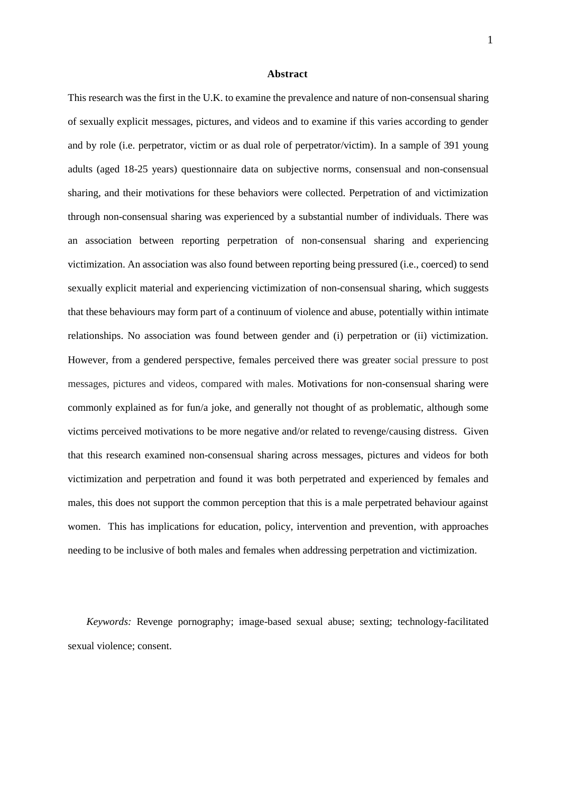#### **Abstract**

This research was the first in the U.K. to examine the prevalence and nature of non-consensual sharing of sexually explicit messages, pictures, and videos and to examine if this varies according to gender and by role (i.e. perpetrator, victim or as dual role of perpetrator/victim). In a sample of 391 young adults (aged 18-25 years) questionnaire data on subjective norms, consensual and non-consensual sharing, and their motivations for these behaviors were collected. Perpetration of and victimization through non-consensual sharing was experienced by a substantial number of individuals. There was an association between reporting perpetration of non-consensual sharing and experiencing victimization. An association was also found between reporting being pressured (i.e., coerced) to send sexually explicit material and experiencing victimization of non-consensual sharing, which suggests that these behaviours may form part of a continuum of violence and abuse, potentially within intimate relationships. No association was found between gender and (i) perpetration or (ii) victimization. However, from a gendered perspective, females perceived there was greater social pressure to post messages, pictures and videos, compared with males. Motivations for non-consensual sharing were commonly explained as for fun/a joke, and generally not thought of as problematic, although some victims perceived motivations to be more negative and/or related to revenge/causing distress. Given that this research examined non-consensual sharing across messages, pictures and videos for both victimization and perpetration and found it was both perpetrated and experienced by females and males, this does not support the common perception that this is a male perpetrated behaviour against women. This has implications for education, policy, intervention and prevention, with approaches needing to be inclusive of both males and females when addressing perpetration and victimization.

*Keywords:* Revenge pornography; image-based sexual abuse; sexting; technology-facilitated sexual violence; consent.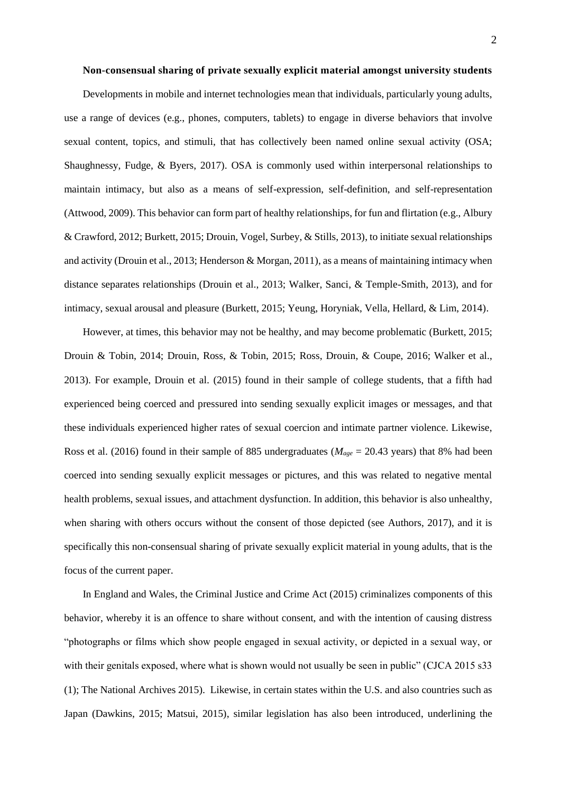## **Non-consensual sharing of private sexually explicit material amongst university students**

Developments in mobile and internet technologies mean that individuals, particularly young adults, use a range of devices (e.g., phones, computers, tablets) to engage in diverse behaviors that involve sexual content, topics, and stimuli, that has collectively been named online sexual activity (OSA; Shaughnessy, Fudge, & Byers, 2017). OSA is commonly used within interpersonal relationships to maintain intimacy, but also as a means of self-expression, self-definition, and self-representation (Attwood, 2009). This behavior can form part of healthy relationships, for fun and flirtation (e.g., Albury & Crawford, 2012; Burkett, 2015; Drouin, Vogel, Surbey, & Stills, 2013), to initiate sexual relationships and activity (Drouin et al., 2013; Henderson & Morgan, 2011), as a means of maintaining intimacy when distance separates relationships (Drouin et al., 2013; Walker, Sanci, & Temple-Smith, 2013), and for intimacy, sexual arousal and pleasure (Burkett, 2015; Yeung, Horyniak, Vella, Hellard, & Lim, 2014).

However, at times, this behavior may not be healthy, and may become problematic (Burkett, 2015; Drouin & Tobin, 2014; Drouin, Ross, & Tobin, 2015; Ross, Drouin, & Coupe, 2016; Walker et al., 2013). For example, Drouin et al. (2015) found in their sample of college students, that a fifth had experienced being coerced and pressured into sending sexually explicit images or messages, and that these individuals experienced higher rates of sexual coercion and intimate partner violence. Likewise, Ross et al. (2016) found in their sample of 885 undergraduates (*Mage* = 20.43 years) that 8% had been coerced into sending sexually explicit messages or pictures, and this was related to negative mental health problems, sexual issues, and attachment dysfunction. In addition, this behavior is also unhealthy, when sharing with others occurs without the consent of those depicted (see Authors, 2017), and it is specifically this non-consensual sharing of private sexually explicit material in young adults, that is the focus of the current paper.

In England and Wales, the Criminal Justice and Crime Act (2015) criminalizes components of this behavior, whereby it is an offence to share without consent, and with the intention of causing distress "photographs or films which show people engaged in sexual activity, or depicted in a sexual way, or with their genitals exposed, where what is shown would not usually be seen in public" (CJCA 2015 s33 (1); The National Archives 2015). Likewise, in certain states within the U.S. and also countries such as Japan (Dawkins, 2015; Matsui, 2015), similar legislation has also been introduced, underlining the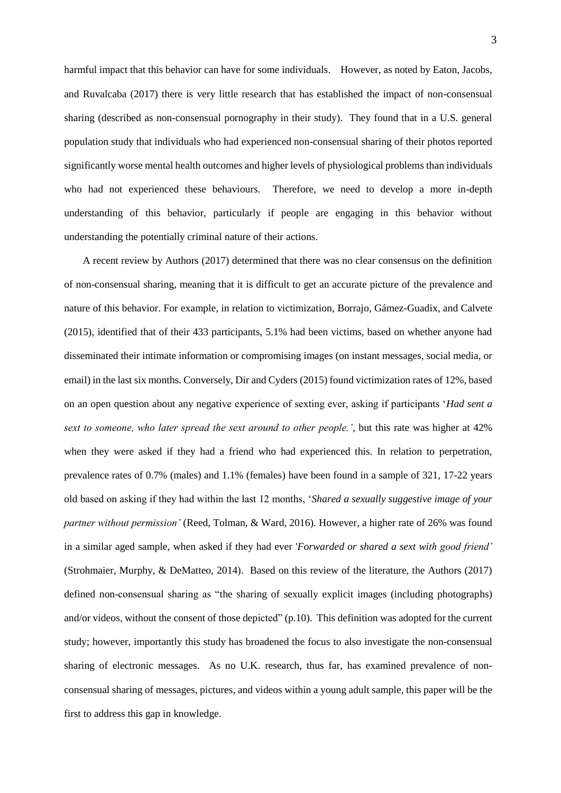harmful impact that this behavior can have for some individuals. However, as noted by Eaton, Jacobs, and Ruvalcaba (2017) there is very little research that has established the impact of non-consensual sharing (described as non-consensual pornography in their study). They found that in a U.S. general population study that individuals who had experienced non-consensual sharing of their photos reported significantly worse mental health outcomes and higher levels of physiological problems than individuals who had not experienced these behaviours. Therefore, we need to develop a more in-depth understanding of this behavior, particularly if people are engaging in this behavior without understanding the potentially criminal nature of their actions.

A recent review by Authors (2017) determined that there was no clear consensus on the definition of non-consensual sharing, meaning that it is difficult to get an accurate picture of the prevalence and nature of this behavior. For example, in relation to victimization, Borrajo, Gámez-Guadix, and Calvete (2015), identified that of their 433 participants, 5.1% had been victims, based on whether anyone had disseminated their intimate information or compromising images (on instant messages, social media, or email) in the last six months. Conversely, Dir and Cyders (2015) found victimization rates of 12%, based on an open question about any negative experience of sexting ever, asking if participants '*Had sent a sext to someone, who later spread the sext around to other people.'*, but this rate was higher at 42% when they were asked if they had a friend who had experienced this. In relation to perpetration, prevalence rates of 0.7% (males) and 1.1% (females) have been found in a sample of 321, 17-22 years old based on asking if they had within the last 12 months, '*Shared a sexually suggestive image of your partner without permission'* (Reed, Tolman, & Ward, 2016)*.* However, a higher rate of 26% was found in a similar aged sample, when asked if they had ever '*Forwarded or shared a sext with good friend'*  (Strohmaier, Murphy, & DeMatteo, 2014). Based on this review of the literature, the Authors (2017) defined non-consensual sharing as "the sharing of sexually explicit images (including photographs) and/or videos, without the consent of those depicted" (p.10). This definition was adopted for the current study; however, importantly this study has broadened the focus to also investigate the non-consensual sharing of electronic messages. As no U.K. research, thus far, has examined prevalence of nonconsensual sharing of messages, pictures, and videos within a young adult sample, this paper will be the first to address this gap in knowledge.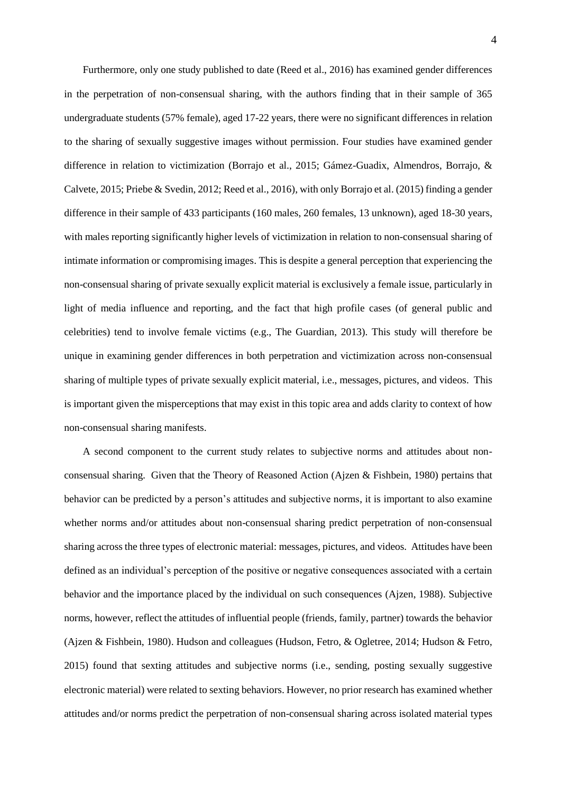Furthermore, only one study published to date (Reed et al., 2016) has examined gender differences in the perpetration of non-consensual sharing, with the authors finding that in their sample of 365 undergraduate students (57% female), aged 17-22 years, there were no significant differences in relation to the sharing of sexually suggestive images without permission. Four studies have examined gender difference in relation to victimization (Borrajo et al., 2015; Gámez-Guadix, Almendros, Borrajo, & Calvete, 2015; Priebe & Svedin, 2012; Reed et al., 2016), with only Borrajo et al. (2015) finding a gender difference in their sample of 433 participants (160 males, 260 females, 13 unknown), aged 18-30 years, with males reporting significantly higher levels of victimization in relation to non-consensual sharing of intimate information or compromising images. This is despite a general perception that experiencing the non-consensual sharing of private sexually explicit material is exclusively a female issue, particularly in light of media influence and reporting, and the fact that high profile cases (of general public and celebrities) tend to involve female victims (e.g., The Guardian, 2013). This study will therefore be unique in examining gender differences in both perpetration and victimization across non-consensual sharing of multiple types of private sexually explicit material, i.e., messages, pictures, and videos. This is important given the misperceptions that may exist in this topic area and adds clarity to context of how non-consensual sharing manifests.

A second component to the current study relates to subjective norms and attitudes about nonconsensual sharing. Given that the Theory of Reasoned Action (Ajzen & Fishbein, 1980) pertains that behavior can be predicted by a person's attitudes and subjective norms, it is important to also examine whether norms and/or attitudes about non-consensual sharing predict perpetration of non-consensual sharing across the three types of electronic material: messages, pictures, and videos. Attitudes have been defined as an individual's perception of the positive or negative consequences associated with a certain behavior and the importance placed by the individual on such consequences (Ajzen, 1988). Subjective norms, however, reflect the attitudes of influential people (friends, family, partner) towards the behavior (Ajzen & Fishbein, 1980). Hudson and colleagues (Hudson, Fetro, & Ogletree, 2014; Hudson & Fetro, 2015) found that sexting attitudes and subjective norms (i.e., sending, posting sexually suggestive electronic material) were related to sexting behaviors. However, no prior research has examined whether attitudes and/or norms predict the perpetration of non-consensual sharing across isolated material types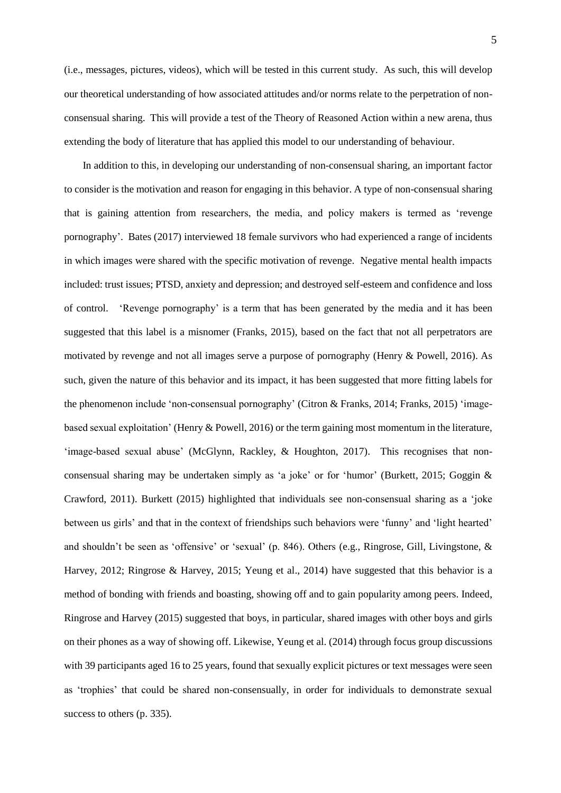(i.e., messages, pictures, videos), which will be tested in this current study. As such, this will develop our theoretical understanding of how associated attitudes and/or norms relate to the perpetration of nonconsensual sharing. This will provide a test of the Theory of Reasoned Action within a new arena, thus extending the body of literature that has applied this model to our understanding of behaviour.

In addition to this, in developing our understanding of non-consensual sharing, an important factor to consider is the motivation and reason for engaging in this behavior. A type of non-consensual sharing that is gaining attention from researchers, the media, and policy makers is termed as 'revenge pornography'. Bates (2017) interviewed 18 female survivors who had experienced a range of incidents in which images were shared with the specific motivation of revenge. Negative mental health impacts included: trust issues; PTSD, anxiety and depression; and destroyed self-esteem and confidence and loss of control. 'Revenge pornography' is a term that has been generated by the media and it has been suggested that this label is a misnomer (Franks, 2015), based on the fact that not all perpetrators are motivated by revenge and not all images serve a purpose of pornography (Henry & Powell, 2016). As such, given the nature of this behavior and its impact, it has been suggested that more fitting labels for the phenomenon include 'non-consensual pornography' (Citron & Franks, 2014; Franks, 2015) 'imagebased sexual exploitation' (Henry & Powell, 2016) or the term gaining most momentum in the literature, 'image-based sexual abuse' (McGlynn, Rackley, & Houghton, 2017). This recognises that nonconsensual sharing may be undertaken simply as 'a joke' or for 'humor' (Burkett, 2015; Goggin & Crawford, 2011). Burkett (2015) highlighted that individuals see non-consensual sharing as a 'joke between us girls' and that in the context of friendships such behaviors were 'funny' and 'light hearted' and shouldn't be seen as 'offensive' or 'sexual' (p. 846). Others (e.g., Ringrose, Gill, Livingstone, & Harvey, 2012; Ringrose & Harvey, 2015; Yeung et al., 2014) have suggested that this behavior is a method of bonding with friends and boasting, showing off and to gain popularity among peers. Indeed, Ringrose and Harvey (2015) suggested that boys, in particular, shared images with other boys and girls on their phones as a way of showing off. Likewise, Yeung et al. (2014) through focus group discussions with 39 participants aged 16 to 25 years, found that sexually explicit pictures or text messages were seen as 'trophies' that could be shared non-consensually, in order for individuals to demonstrate sexual success to others (p. 335).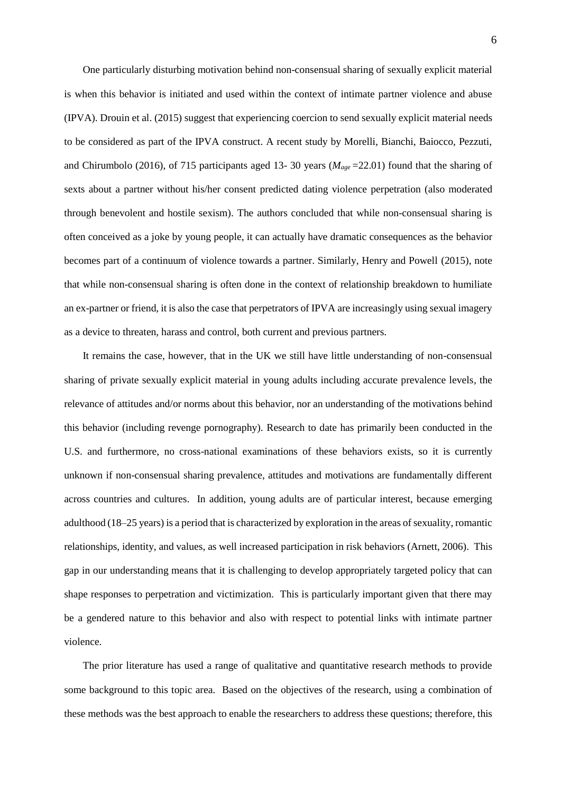One particularly disturbing motivation behind non-consensual sharing of sexually explicit material is when this behavior is initiated and used within the context of intimate partner violence and abuse (IPVA). Drouin et al. (2015) suggest that experiencing coercion to send sexually explicit material needs to be considered as part of the IPVA construct. A recent study by Morelli, Bianchi, Baiocco, Pezzuti, and Chirumbolo (2016), of 715 participants aged 13-30 years ( $M_{age}$ =22.01) found that the sharing of sexts about a partner without his/her consent predicted dating violence perpetration (also moderated through benevolent and hostile sexism). The authors concluded that while non-consensual sharing is often conceived as a joke by young people, it can actually have dramatic consequences as the behavior becomes part of a continuum of violence towards a partner. Similarly, Henry and Powell (2015), note that while non-consensual sharing is often done in the context of relationship breakdown to humiliate an ex-partner or friend, it is also the case that perpetrators of IPVA are increasingly using sexual imagery as a device to threaten, harass and control, both current and previous partners.

It remains the case, however, that in the UK we still have little understanding of non-consensual sharing of private sexually explicit material in young adults including accurate prevalence levels, the relevance of attitudes and/or norms about this behavior, nor an understanding of the motivations behind this behavior (including revenge pornography). Research to date has primarily been conducted in the U.S. and furthermore, no cross-national examinations of these behaviors exists, so it is currently unknown if non-consensual sharing prevalence, attitudes and motivations are fundamentally different across countries and cultures. In addition, young adults are of particular interest, because emerging adulthood (18–25 years) is a period that is characterized by exploration in the areas of sexuality, romantic relationships, identity, and values, as well increased participation in risk behaviors (Arnett, 2006). This gap in our understanding means that it is challenging to develop appropriately targeted policy that can shape responses to perpetration and victimization. This is particularly important given that there may be a gendered nature to this behavior and also with respect to potential links with intimate partner violence.

The prior literature has used a range of qualitative and quantitative research methods to provide some background to this topic area. Based on the objectives of the research, using a combination of these methods was the best approach to enable the researchers to address these questions; therefore, this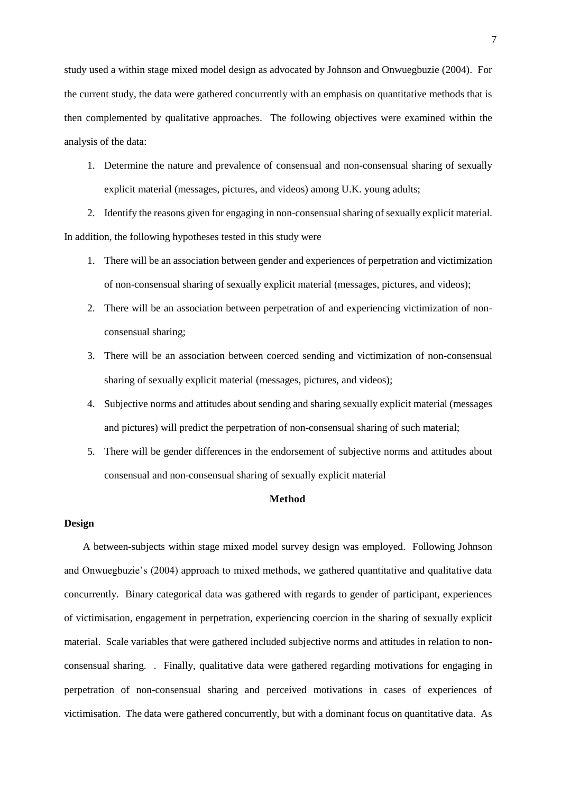study used a within stage mixed model design as advocated by Johnson and Onwuegbuzie (2004). For the current study, the data were gathered concurrently with an emphasis on quantitative methods that is then complemented by qualitative approaches. The following objectives were examined within the analysis of the data:

1. Determine the nature and prevalence of consensual and non-consensual sharing of sexually explicit material (messages, pictures, and videos) among U.K. young adults;

2. Identify the reasons given for engaging in non-consensual sharing of sexually explicit material. In addition, the following hypotheses tested in this study were

- 1. There will be an association between gender and experiences of perpetration and victimization of non-consensual sharing of sexually explicit material (messages, pictures, and videos);
- 2. There will be an association between perpetration of and experiencing victimization of nonconsensual sharing;
- 3. There will be an association between coerced sending and victimization of non-consensual sharing of sexually explicit material (messages, pictures, and videos);
- 4. Subjective norms and attitudes about sending and sharing sexually explicit material (messages and pictures) will predict the perpetration of non-consensual sharing of such material;
- 5. There will be gender differences in the endorsement of subjective norms and attitudes about consensual and non-consensual sharing of sexually explicit material

## **Method**

### **Design**

A between-subjects within stage mixed model survey design was employed. Following Johnson and Onwuegbuzie's (2004) approach to mixed methods, we gathered quantitative and qualitative data concurrently. Binary categorical data was gathered with regards to gender of participant, experiences of victimisation, engagement in perpetration, experiencing coercion in the sharing of sexually explicit material. Scale variables that were gathered included subjective norms and attitudes in relation to nonconsensual sharing. . Finally, qualitative data were gathered regarding motivations for engaging in perpetration of non-consensual sharing and perceived motivations in cases of experiences of victimisation. The data were gathered concurrently, but with a dominant focus on quantitative data. As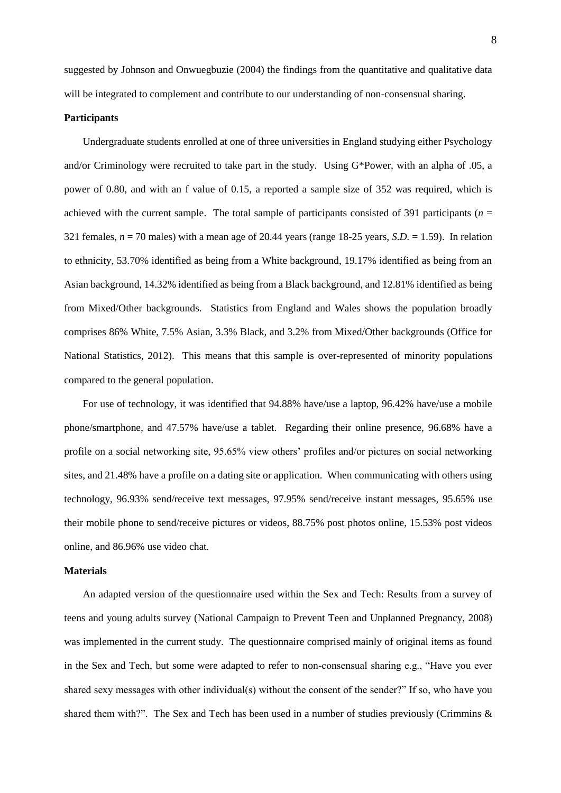suggested by Johnson and Onwuegbuzie (2004) the findings from the quantitative and qualitative data will be integrated to complement and contribute to our understanding of non-consensual sharing.

## **Participants**

Undergraduate students enrolled at one of three universities in England studying either Psychology and/or Criminology were recruited to take part in the study. Using G\*Power, with an alpha of .05, a power of 0.80, and with an f value of 0.15, a reported a sample size of 352 was required, which is achieved with the current sample. The total sample of participants consisted of 391 participants (*n* = 321 females,  $n = 70$  males) with a mean age of 20.44 years (range 18-25 years, *S.D.* = 1.59). In relation to ethnicity, 53.70% identified as being from a White background, 19.17% identified as being from an Asian background, 14.32% identified as being from a Black background, and 12.81% identified as being from Mixed/Other backgrounds. Statistics from England and Wales shows the population broadly comprises 86% White, 7.5% Asian, 3.3% Black, and 3.2% from Mixed/Other backgrounds (Office for National Statistics, 2012). This means that this sample is over-represented of minority populations compared to the general population.

For use of technology, it was identified that 94.88% have/use a laptop, 96.42% have/use a mobile phone/smartphone, and 47.57% have/use a tablet. Regarding their online presence, 96.68% have a profile on a social networking site, 95.65% view others' profiles and/or pictures on social networking sites, and 21.48% have a profile on a dating site or application. When communicating with others using technology, 96.93% send/receive text messages, 97.95% send/receive instant messages, 95.65% use their mobile phone to send/receive pictures or videos, 88.75% post photos online, 15.53% post videos online, and 86.96% use video chat.

#### **Materials**

An adapted version of the questionnaire used within the Sex and Tech: Results from a survey of teens and young adults survey (National Campaign to Prevent Teen and Unplanned Pregnancy, 2008) was implemented in the current study. The questionnaire comprised mainly of original items as found in the Sex and Tech, but some were adapted to refer to non-consensual sharing e.g., "Have you ever shared sexy messages with other individual(s) without the consent of the sender?" If so, who have you shared them with?". The Sex and Tech has been used in a number of studies previously (Crimmins  $\&$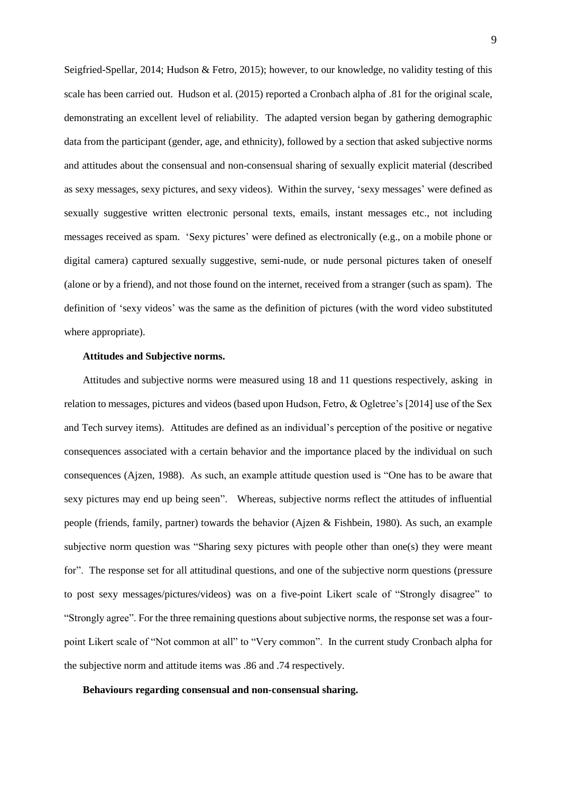Seigfried-Spellar, 2014; Hudson & Fetro, 2015); however, to our knowledge, no validity testing of this scale has been carried out. Hudson et al. (2015) reported a Cronbach alpha of .81 for the original scale, demonstrating an excellent level of reliability. The adapted version began by gathering demographic data from the participant (gender, age, and ethnicity), followed by a section that asked subjective norms and attitudes about the consensual and non-consensual sharing of sexually explicit material (described as sexy messages, sexy pictures, and sexy videos). Within the survey, 'sexy messages' were defined as sexually suggestive written electronic personal texts, emails, instant messages etc., not including messages received as spam. 'Sexy pictures' were defined as electronically (e.g., on a mobile phone or digital camera) captured sexually suggestive, semi-nude, or nude personal pictures taken of oneself (alone or by a friend), and not those found on the internet, received from a stranger (such as spam). The definition of 'sexy videos' was the same as the definition of pictures (with the word video substituted where appropriate).

### **Attitudes and Subjective norms.**

Attitudes and subjective norms were measured using 18 and 11 questions respectively, asking in relation to messages, pictures and videos (based upon Hudson, Fetro, & Ogletree's [2014] use of the Sex and Tech survey items). Attitudes are defined as an individual's perception of the positive or negative consequences associated with a certain behavior and the importance placed by the individual on such consequences (Ajzen, 1988). As such, an example attitude question used is "One has to be aware that sexy pictures may end up being seen". Whereas, subjective norms reflect the attitudes of influential people (friends, family, partner) towards the behavior (Ajzen & Fishbein, 1980). As such, an example subjective norm question was "Sharing sexy pictures with people other than one(s) they were meant for". The response set for all attitudinal questions, and one of the subjective norm questions (pressure to post sexy messages/pictures/videos) was on a five-point Likert scale of "Strongly disagree" to "Strongly agree". For the three remaining questions about subjective norms, the response set was a fourpoint Likert scale of "Not common at all" to "Very common". In the current study Cronbach alpha for the subjective norm and attitude items was .86 and .74 respectively.

### **Behaviours regarding consensual and non-consensual sharing.**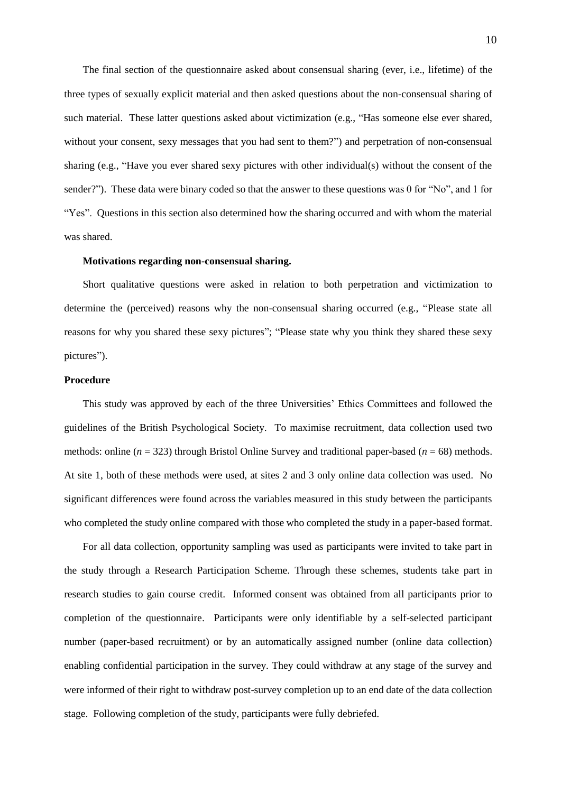The final section of the questionnaire asked about consensual sharing (ever, i.e., lifetime) of the three types of sexually explicit material and then asked questions about the non-consensual sharing of such material. These latter questions asked about victimization (e.g., "Has someone else ever shared, without your consent, sexy messages that you had sent to them?") and perpetration of non-consensual sharing (e.g., "Have you ever shared sexy pictures with other individual(s) without the consent of the sender?"). These data were binary coded so that the answer to these questions was 0 for "No", and 1 for "Yes". Questions in this section also determined how the sharing occurred and with whom the material was shared.

### **Motivations regarding non-consensual sharing.**

Short qualitative questions were asked in relation to both perpetration and victimization to determine the (perceived) reasons why the non-consensual sharing occurred (e.g., "Please state all reasons for why you shared these sexy pictures"; "Please state why you think they shared these sexy pictures").

### **Procedure**

This study was approved by each of the three Universities' Ethics Committees and followed the guidelines of the British Psychological Society. To maximise recruitment, data collection used two methods: online ( $n = 323$ ) through Bristol Online Survey and traditional paper-based ( $n = 68$ ) methods. At site 1, both of these methods were used, at sites 2 and 3 only online data collection was used. No significant differences were found across the variables measured in this study between the participants who completed the study online compared with those who completed the study in a paper-based format.

For all data collection, opportunity sampling was used as participants were invited to take part in the study through a Research Participation Scheme. Through these schemes, students take part in research studies to gain course credit. Informed consent was obtained from all participants prior to completion of the questionnaire. Participants were only identifiable by a self-selected participant number (paper-based recruitment) or by an automatically assigned number (online data collection) enabling confidential participation in the survey. They could withdraw at any stage of the survey and were informed of their right to withdraw post-survey completion up to an end date of the data collection stage. Following completion of the study, participants were fully debriefed.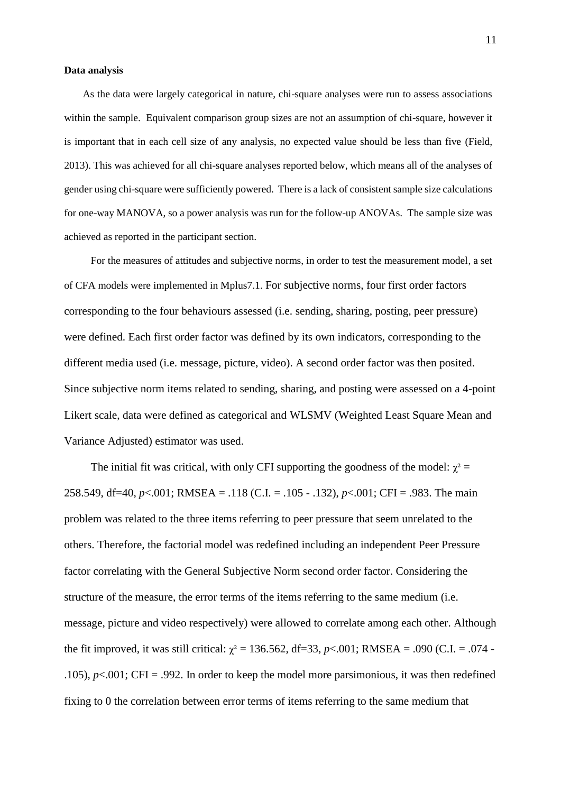## **Data analysis**

As the data were largely categorical in nature, chi-square analyses were run to assess associations within the sample. Equivalent comparison group sizes are not an assumption of chi-square, however it is important that in each cell size of any analysis, no expected value should be less than five (Field, 2013). This was achieved for all chi-square analyses reported below, which means all of the analyses of gender using chi-square were sufficiently powered. There is a lack of consistent sample size calculations for one-way MANOVA, so a power analysis was run for the follow-up ANOVAs. The sample size was achieved as reported in the participant section.

For the measures of attitudes and subjective norms, in order to test the measurement model, a set of CFA models were implemented in Mplus7.1. For subjective norms, four first order factors corresponding to the four behaviours assessed (i.e. sending, sharing, posting, peer pressure) were defined. Each first order factor was defined by its own indicators, corresponding to the different media used (i.e. message, picture, video). A second order factor was then posited. Since subjective norm items related to sending, sharing, and posting were assessed on a 4-point Likert scale, data were defined as categorical and WLSMV (Weighted Least Square Mean and Variance Adjusted) estimator was used.

The initial fit was critical, with only CFI supporting the goodness of the model:  $\chi^2$  = 258.549, df=40, *p*<.001; RMSEA = .118 (C.I. = .105 - .132), *p*<.001; CFI = .983. The main problem was related to the three items referring to peer pressure that seem unrelated to the others. Therefore, the factorial model was redefined including an independent Peer Pressure factor correlating with the General Subjective Norm second order factor. Considering the structure of the measure, the error terms of the items referring to the same medium (i.e. message, picture and video respectively) were allowed to correlate among each other. Although the fit improved, it was still critical:  $\chi^2 = 136.562$ , df=33, *p*<.001; RMSEA = .090 (C.I. = .074 -.105),  $p<.001$ ; CFI = .992. In order to keep the model more parsimonious, it was then redefined fixing to 0 the correlation between error terms of items referring to the same medium that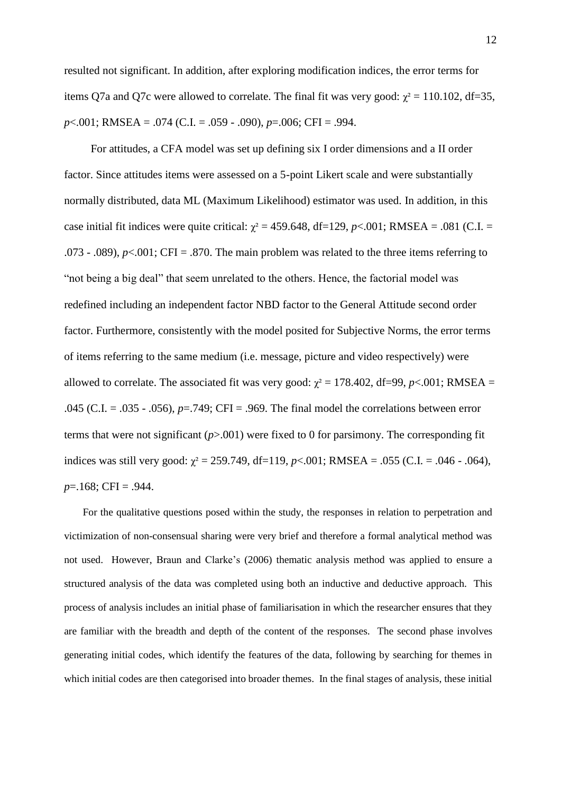resulted not significant. In addition, after exploring modification indices, the error terms for items Q7a and Q7c were allowed to correlate. The final fit was very good:  $\chi^2 = 110.102$ , df=35, *p*<.001; RMSEA = .074 (C.I. = .059 - .090), *p*=.006; CFI = .994.

For attitudes, a CFA model was set up defining six I order dimensions and a II order factor. Since attitudes items were assessed on a 5-point Likert scale and were substantially normally distributed, data ML (Maximum Likelihood) estimator was used. In addition, in this case initial fit indices were quite critical:  $\chi^2 = 459.648$ , df=129, *p*<.001; RMSEA = .081 (C.I. = .073 - .089),  $p<.001$ ; CFI = .870. The main problem was related to the three items referring to "not being a big deal" that seem unrelated to the others. Hence, the factorial model was redefined including an independent factor NBD factor to the General Attitude second order factor. Furthermore, consistently with the model posited for Subjective Norms, the error terms of items referring to the same medium (i.e. message, picture and video respectively) were allowed to correlate. The associated fit was very good:  $\chi^2 = 178.402$ , df=99, *p*<.001; RMSEA = .045 (C.I. = .035 - .056), *p*=.749; CFI = .969. The final model the correlations between error terms that were not significant (*p*>.001) were fixed to 0 for parsimony. The corresponding fit indices was still very good:  $\chi^2 = 259.749$ , df=119, *p*<.001; RMSEA = .055 (C.I. = .046 - .064), *p*=.168; CFI = .944.

For the qualitative questions posed within the study, the responses in relation to perpetration and victimization of non-consensual sharing were very brief and therefore a formal analytical method was not used. However, Braun and Clarke's (2006) thematic analysis method was applied to ensure a structured analysis of the data was completed using both an inductive and deductive approach. This process of analysis includes an initial phase of familiarisation in which the researcher ensures that they are familiar with the breadth and depth of the content of the responses. The second phase involves generating initial codes, which identify the features of the data, following by searching for themes in which initial codes are then categorised into broader themes. In the final stages of analysis, these initial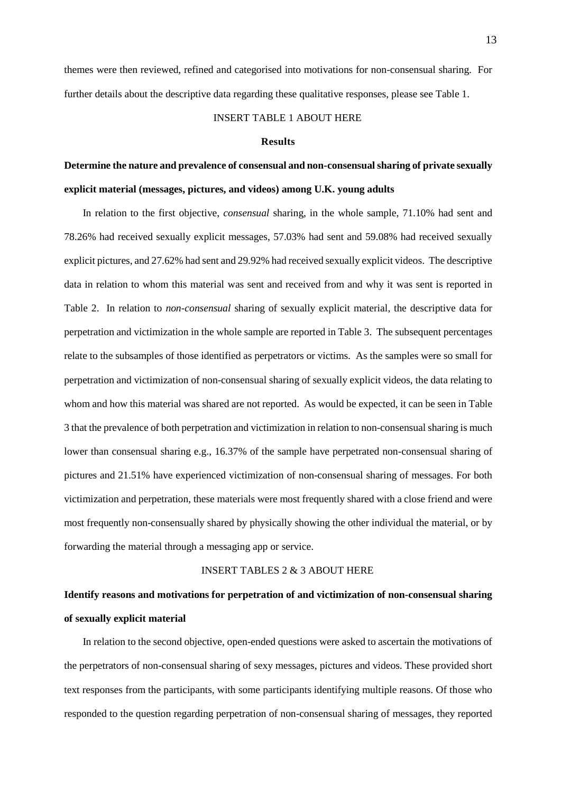themes were then reviewed, refined and categorised into motivations for non-consensual sharing. For further details about the descriptive data regarding these qualitative responses, please see Table 1.

## INSERT TABLE 1 ABOUT HERE

#### **Results**

# **Determine the nature and prevalence of consensual and non-consensual sharing of private sexually explicit material (messages, pictures, and videos) among U.K. young adults**

In relation to the first objective, *consensual* sharing, in the whole sample, 71.10% had sent and 78.26% had received sexually explicit messages, 57.03% had sent and 59.08% had received sexually explicit pictures, and 27.62% had sent and 29.92% had received sexually explicit videos. The descriptive data in relation to whom this material was sent and received from and why it was sent is reported in Table 2. In relation to *non-consensual* sharing of sexually explicit material, the descriptive data for perpetration and victimization in the whole sample are reported in Table 3. The subsequent percentages relate to the subsamples of those identified as perpetrators or victims. As the samples were so small for perpetration and victimization of non-consensual sharing of sexually explicit videos, the data relating to whom and how this material was shared are not reported. As would be expected, it can be seen in Table 3 that the prevalence of both perpetration and victimization in relation to non-consensual sharing is much lower than consensual sharing e.g., 16.37% of the sample have perpetrated non-consensual sharing of pictures and 21.51% have experienced victimization of non-consensual sharing of messages. For both victimization and perpetration, these materials were most frequently shared with a close friend and were most frequently non-consensually shared by physically showing the other individual the material, or by forwarding the material through a messaging app or service.

### INSERT TABLES 2 & 3 ABOUT HERE

# **Identify reasons and motivations for perpetration of and victimization of non-consensual sharing of sexually explicit material**

In relation to the second objective, open-ended questions were asked to ascertain the motivations of the perpetrators of non-consensual sharing of sexy messages, pictures and videos. These provided short text responses from the participants, with some participants identifying multiple reasons. Of those who responded to the question regarding perpetration of non-consensual sharing of messages, they reported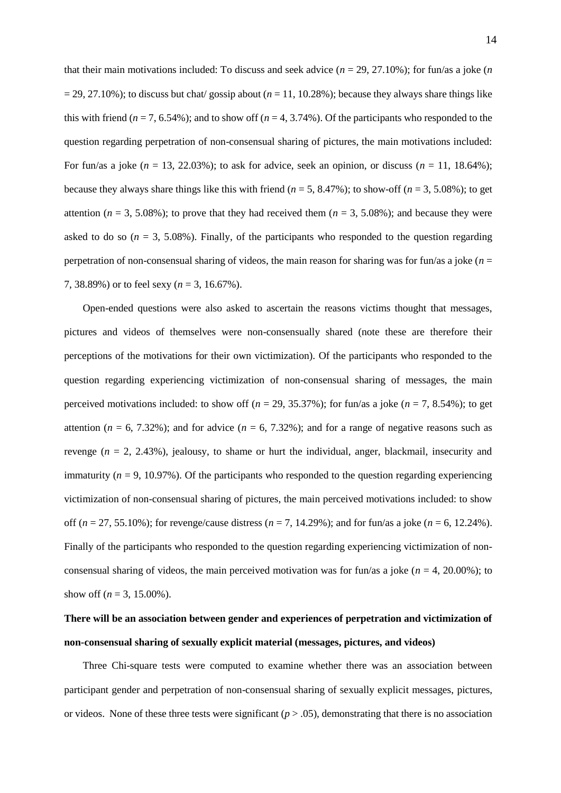that their main motivations included: To discuss and seek advice  $(n = 29, 27.10\%)$ ; for fun/as a joke  $(n \times n)$  $= 29, 27.10\%$ ; to discuss but chat/ gossip about ( $n = 11, 10.28\%$ ); because they always share things like this with friend ( $n = 7, 6.54\%$ ); and to show off ( $n = 4, 3.74\%$ ). Of the participants who responded to the question regarding perpetration of non-consensual sharing of pictures, the main motivations included: For fun/as a joke  $(n = 13, 22.03\%)$ ; to ask for advice, seek an opinion, or discuss  $(n = 11, 18.64\%)$ ; because they always share things like this with friend  $(n = 5, 8.47\%)$ ; to show-off  $(n = 3, 5.08\%)$ ; to get attention ( $n = 3, 5.08\%$ ); to prove that they had received them ( $n = 3, 5.08\%$ ); and because they were asked to do so  $(n = 3, 5.08\%)$ . Finally, of the participants who responded to the question regarding perpetration of non-consensual sharing of videos, the main reason for sharing was for fun/as a joke (*n* = 7, 38.89%) or to feel sexy (*n* = 3, 16.67%).

Open-ended questions were also asked to ascertain the reasons victims thought that messages, pictures and videos of themselves were non-consensually shared (note these are therefore their perceptions of the motivations for their own victimization). Of the participants who responded to the question regarding experiencing victimization of non-consensual sharing of messages, the main perceived motivations included: to show off ( $n = 29$ , 35.37%); for fun/as a joke ( $n = 7, 8.54$ %); to get attention ( $n = 6, 7.32\%$ ); and for advice ( $n = 6, 7.32\%$ ); and for a range of negative reasons such as revenge (*n* = 2, 2.43%), jealousy, to shame or hurt the individual, anger, blackmail, insecurity and immaturity  $(n = 9, 10.97%)$ . Of the participants who responded to the question regarding experiencing victimization of non-consensual sharing of pictures, the main perceived motivations included: to show off (*n* = 27, 55.10%); for revenge/cause distress (*n* = 7, 14.29%); and for fun/as a joke (*n* = 6, 12.24%). Finally of the participants who responded to the question regarding experiencing victimization of nonconsensual sharing of videos, the main perceived motivation was for fun/as a joke  $(n = 4, 20.00\%)$ ; to show off ( $n = 3, 15.00\%$ ).

# **There will be an association between gender and experiences of perpetration and victimization of non-consensual sharing of sexually explicit material (messages, pictures, and videos)**

Three Chi-square tests were computed to examine whether there was an association between participant gender and perpetration of non-consensual sharing of sexually explicit messages, pictures, or videos. None of these three tests were significant  $(p > .05)$ , demonstrating that there is no association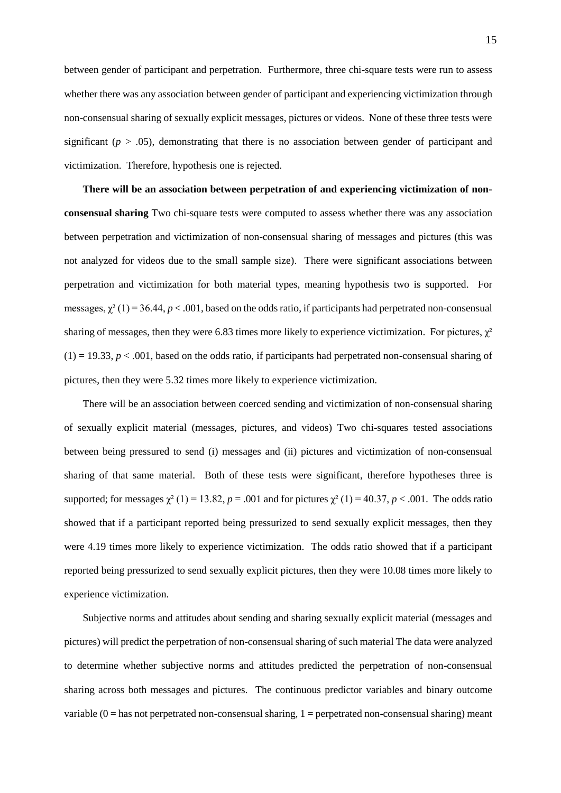between gender of participant and perpetration. Furthermore, three chi-square tests were run to assess whether there was any association between gender of participant and experiencing victimization through non-consensual sharing of sexually explicit messages, pictures or videos. None of these three tests were significant ( $p > .05$ ), demonstrating that there is no association between gender of participant and victimization. Therefore, hypothesis one is rejected.

**There will be an association between perpetration of and experiencing victimization of nonconsensual sharing** Two chi-square tests were computed to assess whether there was any association between perpetration and victimization of non-consensual sharing of messages and pictures (this was not analyzed for videos due to the small sample size). There were significant associations between perpetration and victimization for both material types, meaning hypothesis two is supported. For messages,  $\chi^2(1) = 36.44$ ,  $p < .001$ , based on the odds ratio, if participants had perpetrated non-consensual sharing of messages, then they were 6.83 times more likely to experience victimization. For pictures,  $\chi^2$  $(1) = 19.33, p < .001$ , based on the odds ratio, if participants had perpetrated non-consensual sharing of pictures, then they were 5.32 times more likely to experience victimization.

There will be an association between coerced sending and victimization of non-consensual sharing of sexually explicit material (messages, pictures, and videos) Two chi-squares tested associations between being pressured to send (i) messages and (ii) pictures and victimization of non-consensual sharing of that same material. Both of these tests were significant, therefore hypotheses three is supported; for messages  $\chi^2$  (1) = 13.82, *p* = .001 and for pictures  $\chi^2$  (1) = 40.37, *p* < .001. The odds ratio showed that if a participant reported being pressurized to send sexually explicit messages, then they were 4.19 times more likely to experience victimization. The odds ratio showed that if a participant reported being pressurized to send sexually explicit pictures, then they were 10.08 times more likely to experience victimization.

Subjective norms and attitudes about sending and sharing sexually explicit material (messages and pictures) will predict the perpetration of non-consensual sharing of such material The data were analyzed to determine whether subjective norms and attitudes predicted the perpetration of non-consensual sharing across both messages and pictures. The continuous predictor variables and binary outcome variable  $(0 =$  has not perpetrated non-consensual sharing,  $1 =$  perpetrated non-consensual sharing) meant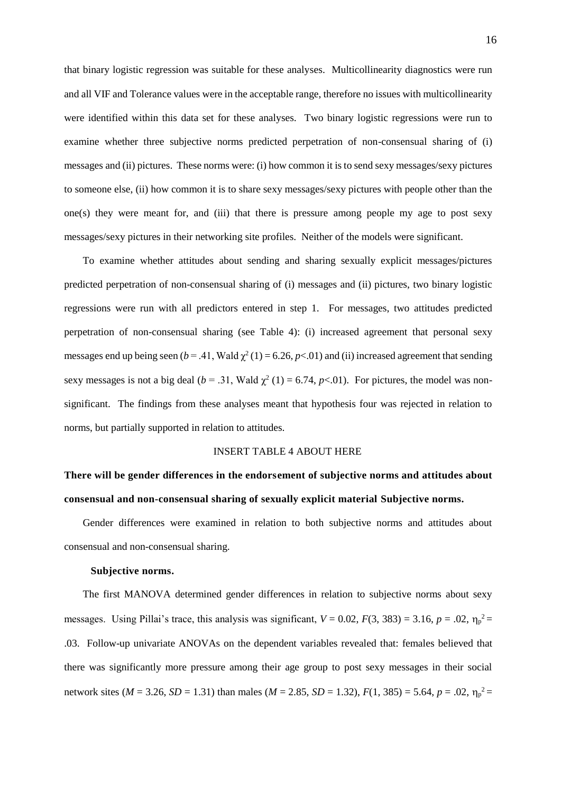that binary logistic regression was suitable for these analyses. Multicollinearity diagnostics were run and all VIF and Tolerance values were in the acceptable range, therefore no issues with multicollinearity were identified within this data set for these analyses. Two binary logistic regressions were run to examine whether three subjective norms predicted perpetration of non-consensual sharing of (i) messages and (ii) pictures. These norms were: (i) how common it is to send sexy messages/sexy pictures to someone else, (ii) how common it is to share sexy messages/sexy pictures with people other than the one(s) they were meant for, and (iii) that there is pressure among people my age to post sexy messages/sexy pictures in their networking site profiles. Neither of the models were significant.

To examine whether attitudes about sending and sharing sexually explicit messages/pictures predicted perpetration of non-consensual sharing of (i) messages and (ii) pictures, two binary logistic regressions were run with all predictors entered in step 1. For messages, two attitudes predicted perpetration of non-consensual sharing (see Table 4): (i) increased agreement that personal sexy messages end up being seen ( $b = .41$ , Wald  $\chi^2(1) = 6.26$ ,  $p < .01$ ) and (ii) increased agreement that sending sexy messages is not a big deal ( $b = .31$ , Wald  $\chi^2(1) = 6.74$ ,  $p<.01$ ). For pictures, the model was nonsignificant. The findings from these analyses meant that hypothesis four was rejected in relation to norms, but partially supported in relation to attitudes.

### INSERT TABLE 4 ABOUT HERE

# **There will be gender differences in the endorsement of subjective norms and attitudes about consensual and non-consensual sharing of sexually explicit material Subjective norms.**

Gender differences were examined in relation to both subjective norms and attitudes about consensual and non-consensual sharing.

### **Subjective norms.**

The first MANOVA determined gender differences in relation to subjective norms about sexy messages. Using Pillai's trace, this analysis was significant,  $V = 0.02$ ,  $F(3, 383) = 3.16$ ,  $p = .02$ ,  $\eta_p^2 =$ .03. Follow-up univariate ANOVAs on the dependent variables revealed that: females believed that there was significantly more pressure among their age group to post sexy messages in their social network sites ( $M = 3.26$ ,  $SD = 1.31$ ) than males ( $M = 2.85$ ,  $SD = 1.32$ ),  $F(1, 385) = 5.64$ ,  $p = .02$ ,  $\eta_p^2 =$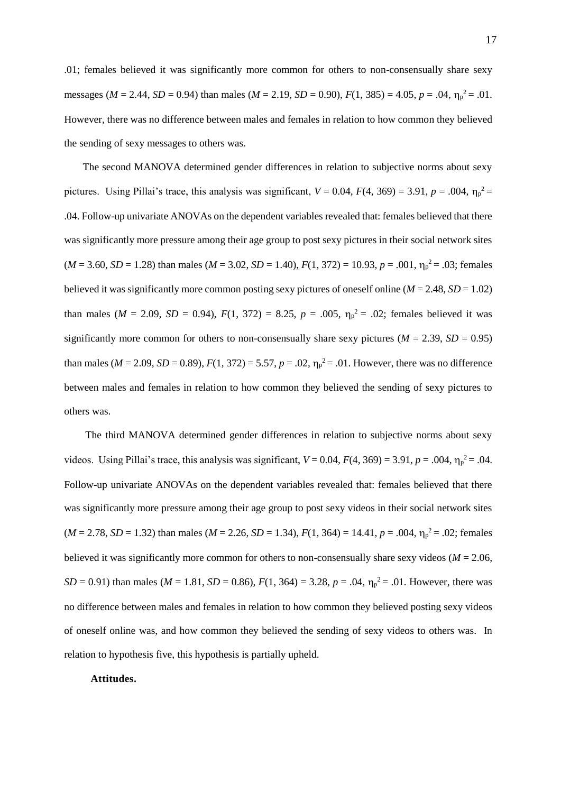.01; females believed it was significantly more common for others to non-consensually share sexy messages ( $M = 2.44$ ,  $SD = 0.94$ ) than males ( $M = 2.19$ ,  $SD = 0.90$ ),  $F(1, 385) = 4.05$ ,  $p = .04$ ,  $\eta_p^2 = .01$ . However, there was no difference between males and females in relation to how common they believed the sending of sexy messages to others was.

The second MANOVA determined gender differences in relation to subjective norms about sexy pictures. Using Pillai's trace, this analysis was significant,  $V = 0.04$ ,  $F(4, 369) = 3.91$ ,  $p = .004$ ,  $\eta_p^2 =$ .04. Follow-up univariate ANOVAs on the dependent variables revealed that: females believed that there was significantly more pressure among their age group to post sexy pictures in their social network sites  $(M = 3.60, SD = 1.28)$  than males  $(M = 3.02, SD = 1.40)$ ,  $F(1, 372) = 10.93$ ,  $p = .001$ ,  $\eta_p^2 = .03$ ; females believed it was significantly more common posting sexy pictures of oneself online ( $M = 2.48$ ,  $SD = 1.02$ ) than males ( $M = 2.09$ ,  $SD = 0.94$ ),  $F(1, 372) = 8.25$ ,  $p = .005$ ,  $\eta_p^2 = .02$ ; females believed it was significantly more common for others to non-consensually share sexy pictures ( $M = 2.39$ ,  $SD = 0.95$ ) than males ( $M = 2.09$ ,  $SD = 0.89$ ),  $F(1, 372) = 5.57$ ,  $p = .02$ ,  $\eta_p^2 = .01$ . However, there was no difference between males and females in relation to how common they believed the sending of sexy pictures to others was.

The third MANOVA determined gender differences in relation to subjective norms about sexy videos. Using Pillai's trace, this analysis was significant,  $V = 0.04$ ,  $F(4, 369) = 3.91$ ,  $p = .004$ ,  $\eta_p^2 = .04$ . Follow-up univariate ANOVAs on the dependent variables revealed that: females believed that there was significantly more pressure among their age group to post sexy videos in their social network sites  $(M = 2.78, SD = 1.32)$  than males  $(M = 2.26, SD = 1.34)$ ,  $F(1, 364) = 14.41$ ,  $p = .004$ ,  $\eta_p^2 = .02$ ; females believed it was significantly more common for others to non-consensually share sexy videos ( $M = 2.06$ , *SD* = 0.91) than males (*M* = 1.81, *SD* = 0.86),  $F(1, 364) = 3.28$ ,  $p = .04$ ,  $\eta_p^2 = .01$ . However, there was no difference between males and females in relation to how common they believed posting sexy videos of oneself online was, and how common they believed the sending of sexy videos to others was. In relation to hypothesis five, this hypothesis is partially upheld.

### **Attitudes.**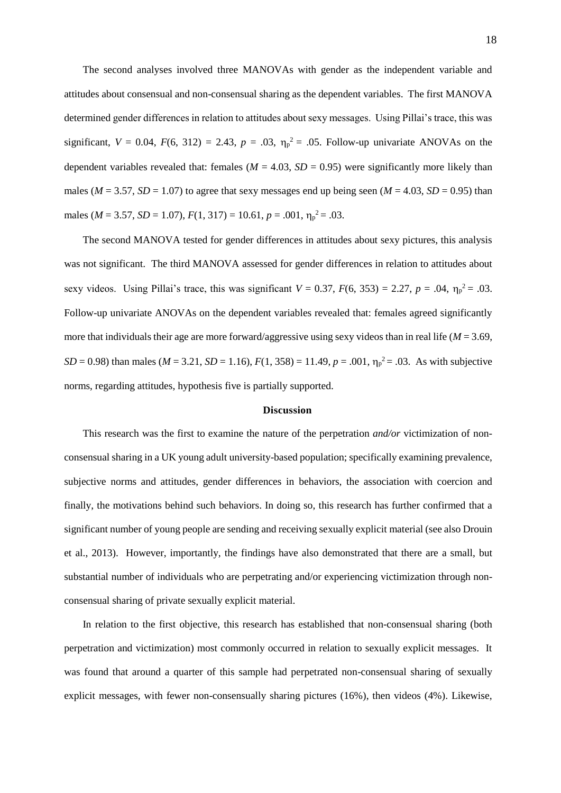The second analyses involved three MANOVAs with gender as the independent variable and attitudes about consensual and non-consensual sharing as the dependent variables. The first MANOVA determined gender differences in relation to attitudes about sexy messages. Using Pillai's trace, this was significant,  $V = 0.04$ ,  $F(6, 312) = 2.43$ ,  $p = .03$ ,  $\eta_p^2 = .05$ . Follow-up univariate ANOVAs on the dependent variables revealed that: females ( $M = 4.03$ ,  $SD = 0.95$ ) were significantly more likely than males ( $M = 3.57$ ,  $SD = 1.07$ ) to agree that sexy messages end up being seen ( $M = 4.03$ ,  $SD = 0.95$ ) than males ( $M = 3.57$ ,  $SD = 1.07$ ),  $F(1, 317) = 10.61$ ,  $p = .001$ ,  $\eta_p^2 = .03$ .

The second MANOVA tested for gender differences in attitudes about sexy pictures, this analysis was not significant. The third MANOVA assessed for gender differences in relation to attitudes about sexy videos. Using Pillai's trace, this was significant  $V = 0.37$ ,  $F(6, 353) = 2.27$ ,  $p = .04$ ,  $\eta_p^2 = .03$ . Follow-up univariate ANOVAs on the dependent variables revealed that: females agreed significantly more that individuals their age are more forward/aggressive using sexy videos than in real life ( $M = 3.69$ , *SD* = 0.98) than males (*M* = 3.21, *SD* = 1.16),  $F(1, 358) = 11.49$ ,  $p = .001$ ,  $\eta_p^2 = .03$ . As with subjective norms, regarding attitudes, hypothesis five is partially supported.

### **Discussion**

This research was the first to examine the nature of the perpetration *and/or* victimization of nonconsensual sharing in a UK young adult university-based population; specifically examining prevalence, subjective norms and attitudes, gender differences in behaviors, the association with coercion and finally, the motivations behind such behaviors. In doing so, this research has further confirmed that a significant number of young people are sending and receiving sexually explicit material (see also Drouin et al., 2013). However, importantly, the findings have also demonstrated that there are a small, but substantial number of individuals who are perpetrating and/or experiencing victimization through nonconsensual sharing of private sexually explicit material.

In relation to the first objective, this research has established that non-consensual sharing (both perpetration and victimization) most commonly occurred in relation to sexually explicit messages. It was found that around a quarter of this sample had perpetrated non-consensual sharing of sexually explicit messages, with fewer non-consensually sharing pictures (16%), then videos (4%). Likewise,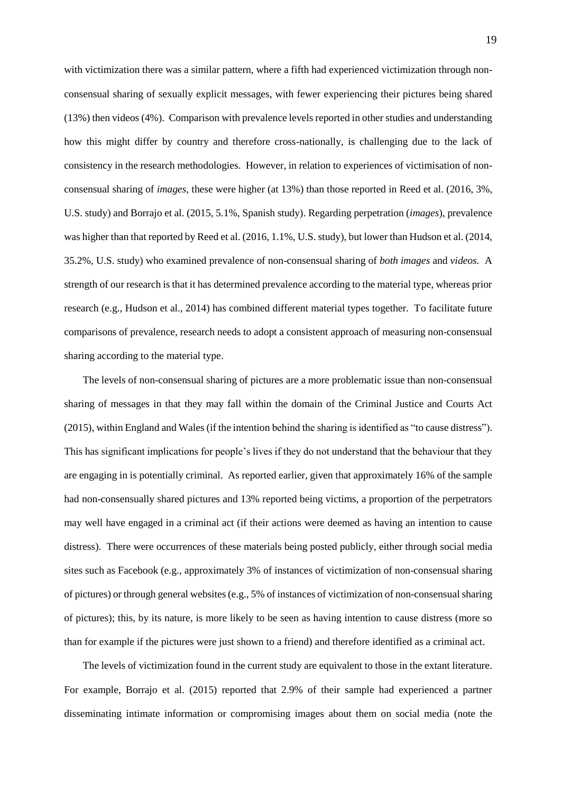with victimization there was a similar pattern, where a fifth had experienced victimization through nonconsensual sharing of sexually explicit messages, with fewer experiencing their pictures being shared (13%) then videos (4%). Comparison with prevalence levels reported in other studies and understanding how this might differ by country and therefore cross-nationally, is challenging due to the lack of consistency in the research methodologies. However, in relation to experiences of victimisation of nonconsensual sharing of *images,* these were higher (at 13%) than those reported in Reed et al. (2016, 3%, U.S. study) and Borrajo et al. (2015, 5.1%, Spanish study). Regarding perpetration (*images*), prevalence was higher than that reported by Reed et al. (2016, 1.1%, U.S. study), but lower than Hudson et al. (2014, 35.2%, U.S. study) who examined prevalence of non-consensual sharing of *both images* and *videos.* A strength of our research is that it has determined prevalence according to the material type, whereas prior research (e.g., Hudson et al., 2014) has combined different material types together. To facilitate future comparisons of prevalence, research needs to adopt a consistent approach of measuring non-consensual sharing according to the material type.

The levels of non-consensual sharing of pictures are a more problematic issue than non-consensual sharing of messages in that they may fall within the domain of the Criminal Justice and Courts Act (2015), within England and Wales (if the intention behind the sharing is identified as "to cause distress"). This has significant implications for people's lives if they do not understand that the behaviour that they are engaging in is potentially criminal. As reported earlier, given that approximately 16% of the sample had non-consensually shared pictures and 13% reported being victims, a proportion of the perpetrators may well have engaged in a criminal act (if their actions were deemed as having an intention to cause distress). There were occurrences of these materials being posted publicly, either through social media sites such as Facebook (e.g., approximately 3% of instances of victimization of non-consensual sharing of pictures) or through general websites (e.g., 5% of instances of victimization of non-consensual sharing of pictures); this, by its nature, is more likely to be seen as having intention to cause distress (more so than for example if the pictures were just shown to a friend) and therefore identified as a criminal act.

The levels of victimization found in the current study are equivalent to those in the extant literature. For example, Borrajo et al. (2015) reported that 2.9% of their sample had experienced a partner disseminating intimate information or compromising images about them on social media (note the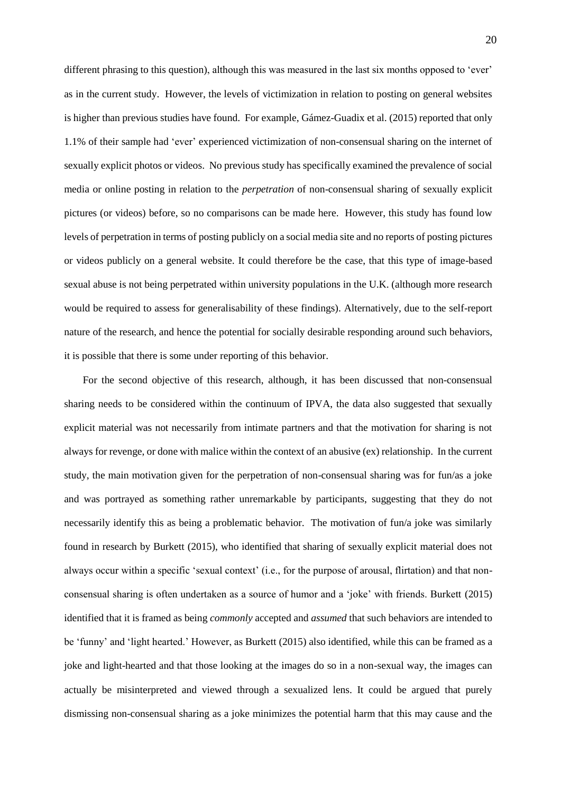different phrasing to this question), although this was measured in the last six months opposed to 'ever' as in the current study. However, the levels of victimization in relation to posting on general websites is higher than previous studies have found. For example, Gámez-Guadix et al. (2015) reported that only 1.1% of their sample had 'ever' experienced victimization of non-consensual sharing on the internet of sexually explicit photos or videos. No previous study has specifically examined the prevalence of social media or online posting in relation to the *perpetration* of non-consensual sharing of sexually explicit pictures (or videos) before, so no comparisons can be made here. However, this study has found low levels of perpetration in terms of posting publicly on a social media site and no reports of posting pictures or videos publicly on a general website. It could therefore be the case, that this type of image-based sexual abuse is not being perpetrated within university populations in the U.K. (although more research would be required to assess for generalisability of these findings). Alternatively, due to the self-report nature of the research, and hence the potential for socially desirable responding around such behaviors, it is possible that there is some under reporting of this behavior.

For the second objective of this research, although, it has been discussed that non-consensual sharing needs to be considered within the continuum of IPVA, the data also suggested that sexually explicit material was not necessarily from intimate partners and that the motivation for sharing is not always for revenge, or done with malice within the context of an abusive (ex) relationship. In the current study, the main motivation given for the perpetration of non-consensual sharing was for fun/as a joke and was portrayed as something rather unremarkable by participants, suggesting that they do not necessarily identify this as being a problematic behavior. The motivation of fun/a joke was similarly found in research by Burkett (2015), who identified that sharing of sexually explicit material does not always occur within a specific 'sexual context' (i.e., for the purpose of arousal, flirtation) and that nonconsensual sharing is often undertaken as a source of humor and a 'joke' with friends. Burkett (2015) identified that it is framed as being *commonly* accepted and *assumed* that such behaviors are intended to be 'funny' and 'light hearted.' However, as Burkett (2015) also identified, while this can be framed as a joke and light-hearted and that those looking at the images do so in a non-sexual way, the images can actually be misinterpreted and viewed through a sexualized lens. It could be argued that purely dismissing non-consensual sharing as a joke minimizes the potential harm that this may cause and the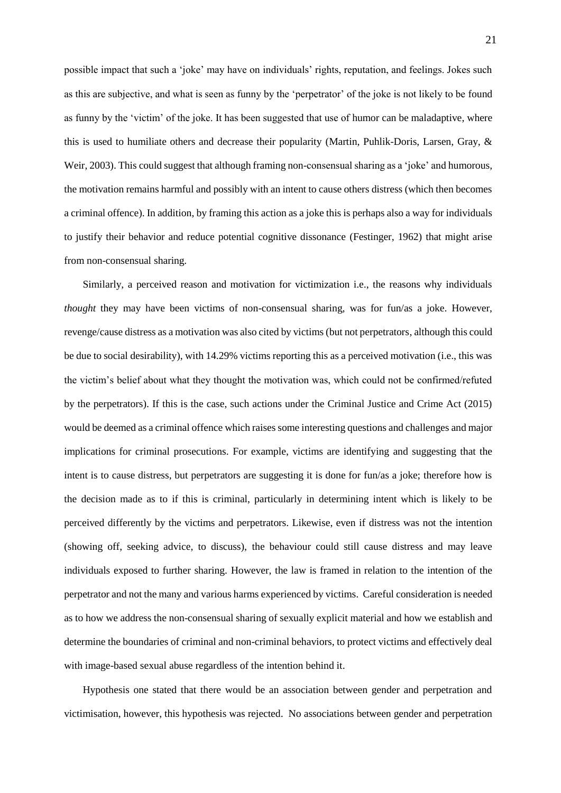possible impact that such a 'joke' may have on individuals' rights, reputation, and feelings. Jokes such as this are subjective, and what is seen as funny by the 'perpetrator' of the joke is not likely to be found as funny by the 'victim' of the joke. It has been suggested that use of humor can be maladaptive, where this is used to humiliate others and decrease their popularity (Martin, Puhlik-Doris, Larsen, Gray, & Weir, 2003). This could suggest that although framing non-consensual sharing as a 'joke' and humorous, the motivation remains harmful and possibly with an intent to cause others distress (which then becomes a criminal offence). In addition, by framing this action as a joke this is perhaps also a way for individuals to justify their behavior and reduce potential cognitive dissonance (Festinger, 1962) that might arise from non-consensual sharing.

Similarly, a perceived reason and motivation for victimization i.e., the reasons why individuals *thought* they may have been victims of non-consensual sharing, was for fun/as a joke. However, revenge/cause distress as a motivation was also cited by victims (but not perpetrators, although this could be due to social desirability), with 14.29% victims reporting this as a perceived motivation (i.e., this was the victim's belief about what they thought the motivation was, which could not be confirmed/refuted by the perpetrators). If this is the case, such actions under the Criminal Justice and Crime Act (2015) would be deemed as a criminal offence which raises some interesting questions and challenges and major implications for criminal prosecutions. For example, victims are identifying and suggesting that the intent is to cause distress, but perpetrators are suggesting it is done for fun/as a joke; therefore how is the decision made as to if this is criminal, particularly in determining intent which is likely to be perceived differently by the victims and perpetrators. Likewise, even if distress was not the intention (showing off, seeking advice, to discuss), the behaviour could still cause distress and may leave individuals exposed to further sharing. However, the law is framed in relation to the intention of the perpetrator and not the many and various harms experienced by victims. Careful consideration is needed as to how we address the non-consensual sharing of sexually explicit material and how we establish and determine the boundaries of criminal and non-criminal behaviors, to protect victims and effectively deal with image-based sexual abuse regardless of the intention behind it.

Hypothesis one stated that there would be an association between gender and perpetration and victimisation, however, this hypothesis was rejected. No associations between gender and perpetration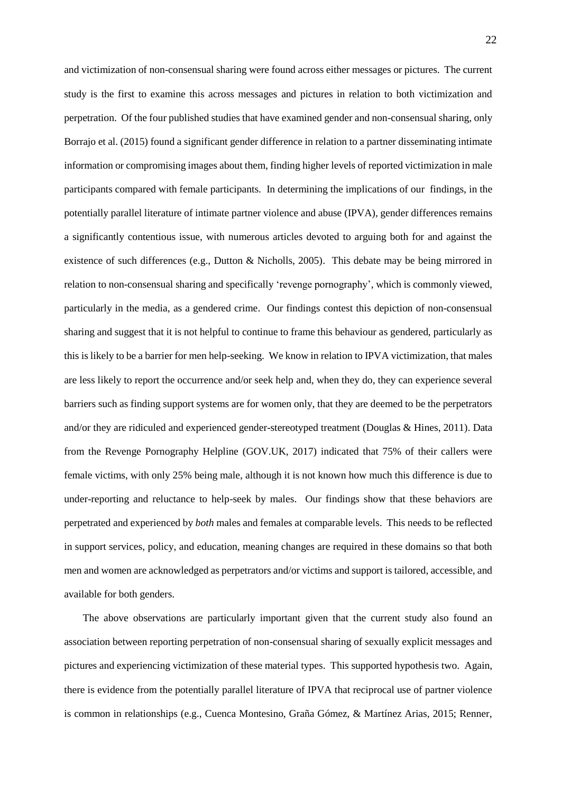and victimization of non-consensual sharing were found across either messages or pictures. The current study is the first to examine this across messages and pictures in relation to both victimization and perpetration. Of the four published studies that have examined gender and non-consensual sharing, only Borrajo et al. (2015) found a significant gender difference in relation to a partner disseminating intimate information or compromising images about them, finding higher levels of reported victimization in male participants compared with female participants. In determining the implications of our findings, in the potentially parallel literature of intimate partner violence and abuse (IPVA), gender differences remains a significantly contentious issue, with numerous articles devoted to arguing both for and against the existence of such differences (e.g., Dutton & Nicholls, 2005). This debate may be being mirrored in relation to non-consensual sharing and specifically 'revenge pornography', which is commonly viewed, particularly in the media, as a gendered crime. Our findings contest this depiction of non-consensual sharing and suggest that it is not helpful to continue to frame this behaviour as gendered, particularly as this is likely to be a barrier for men help-seeking. We know in relation to IPVA victimization, that males are less likely to report the occurrence and/or seek help and, when they do, they can experience several barriers such as finding support systems are for women only, that they are deemed to be the perpetrators and/or they are ridiculed and experienced gender-stereotyped treatment (Douglas & Hines, 2011). Data from the Revenge Pornography Helpline (GOV.UK, 2017) indicated that 75% of their callers were female victims, with only 25% being male, although it is not known how much this difference is due to under-reporting and reluctance to help-seek by males. Our findings show that these behaviors are perpetrated and experienced by *both* males and females at comparable levels. This needs to be reflected in support services, policy, and education, meaning changes are required in these domains so that both men and women are acknowledged as perpetrators and/or victims and support is tailored, accessible, and available for both genders.

The above observations are particularly important given that the current study also found an association between reporting perpetration of non-consensual sharing of sexually explicit messages and pictures and experiencing victimization of these material types. This supported hypothesis two. Again, there is evidence from the potentially parallel literature of IPVA that reciprocal use of partner violence is common in relationships (e.g., Cuenca Montesino, Graña Gómez, & Martínez Arias, 2015; Renner,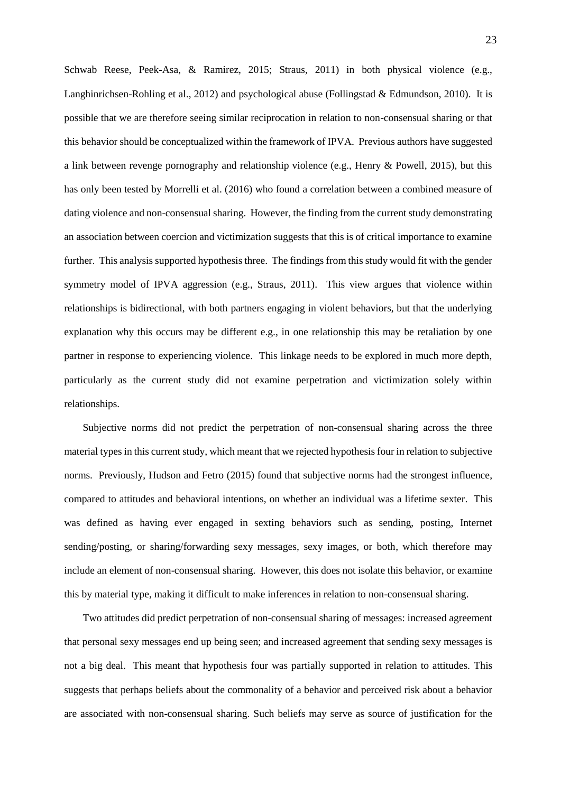Schwab Reese, Peek-Asa, & Ramirez, 2015; Straus, 2011) in both physical violence (e.g., Langhinrichsen-Rohling et al., 2012) and psychological abuse (Follingstad & Edmundson, 2010). It is possible that we are therefore seeing similar reciprocation in relation to non-consensual sharing or that this behavior should be conceptualized within the framework of IPVA. Previous authors have suggested a link between revenge pornography and relationship violence (e.g., Henry & Powell, 2015), but this has only been tested by Morrelli et al. (2016) who found a correlation between a combined measure of dating violence and non-consensual sharing. However, the finding from the current study demonstrating an association between coercion and victimization suggests that this is of critical importance to examine further. This analysis supported hypothesis three. The findings from this study would fit with the gender symmetry model of IPVA aggression (e.g., Straus, 2011). This view argues that violence within relationships is bidirectional, with both partners engaging in violent behaviors, but that the underlying explanation why this occurs may be different e.g., in one relationship this may be retaliation by one partner in response to experiencing violence. This linkage needs to be explored in much more depth, particularly as the current study did not examine perpetration and victimization solely within relationships.

Subjective norms did not predict the perpetration of non-consensual sharing across the three material types in this current study, which meant that we rejected hypothesis four in relation to subjective norms. Previously, Hudson and Fetro (2015) found that subjective norms had the strongest influence, compared to attitudes and behavioral intentions, on whether an individual was a lifetime sexter. This was defined as having ever engaged in sexting behaviors such as sending, posting, Internet sending/posting, or sharing/forwarding sexy messages, sexy images, or both, which therefore may include an element of non-consensual sharing. However, this does not isolate this behavior, or examine this by material type, making it difficult to make inferences in relation to non-consensual sharing.

Two attitudes did predict perpetration of non-consensual sharing of messages: increased agreement that personal sexy messages end up being seen; and increased agreement that sending sexy messages is not a big deal. This meant that hypothesis four was partially supported in relation to attitudes. This suggests that perhaps beliefs about the commonality of a behavior and perceived risk about a behavior are associated with non-consensual sharing. Such beliefs may serve as source of justification for the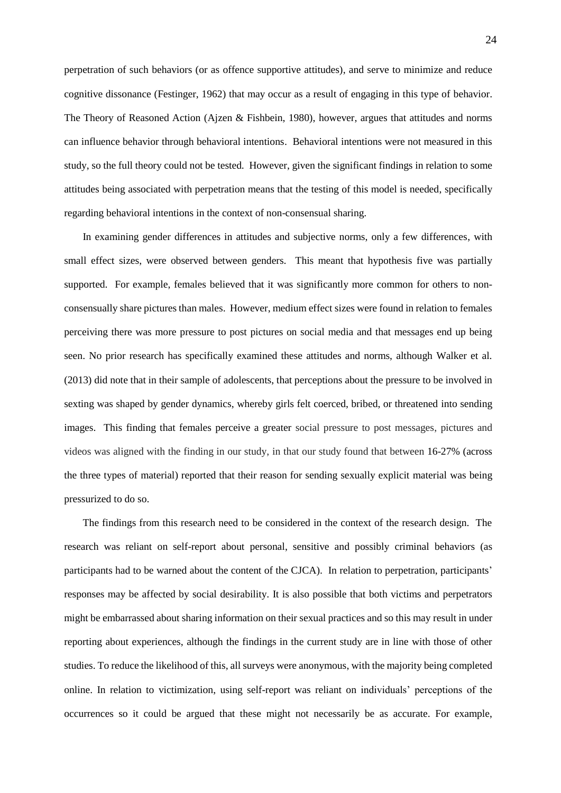perpetration of such behaviors (or as offence supportive attitudes), and serve to minimize and reduce cognitive dissonance (Festinger, 1962) that may occur as a result of engaging in this type of behavior. The Theory of Reasoned Action (Ajzen & Fishbein, 1980), however, argues that attitudes and norms can influence behavior through behavioral intentions. Behavioral intentions were not measured in this study, so the full theory could not be tested. However, given the significant findings in relation to some attitudes being associated with perpetration means that the testing of this model is needed, specifically regarding behavioral intentions in the context of non-consensual sharing.

In examining gender differences in attitudes and subjective norms, only a few differences, with small effect sizes, were observed between genders. This meant that hypothesis five was partially supported. For example, females believed that it was significantly more common for others to nonconsensually share pictures than males. However, medium effect sizes were found in relation to females perceiving there was more pressure to post pictures on social media and that messages end up being seen. No prior research has specifically examined these attitudes and norms, although Walker et al. (2013) did note that in their sample of adolescents, that perceptions about the pressure to be involved in sexting was shaped by gender dynamics, whereby girls felt coerced, bribed, or threatened into sending images. This finding that females perceive a greater social pressure to post messages, pictures and videos was aligned with the finding in our study, in that our study found that between 16-27% (across the three types of material) reported that their reason for sending sexually explicit material was being pressurized to do so.

The findings from this research need to be considered in the context of the research design. The research was reliant on self-report about personal, sensitive and possibly criminal behaviors (as participants had to be warned about the content of the CJCA). In relation to perpetration, participants' responses may be affected by social desirability. It is also possible that both victims and perpetrators might be embarrassed about sharing information on their sexual practices and so this may result in under reporting about experiences, although the findings in the current study are in line with those of other studies. To reduce the likelihood of this, all surveys were anonymous, with the majority being completed online. In relation to victimization, using self-report was reliant on individuals' perceptions of the occurrences so it could be argued that these might not necessarily be as accurate. For example,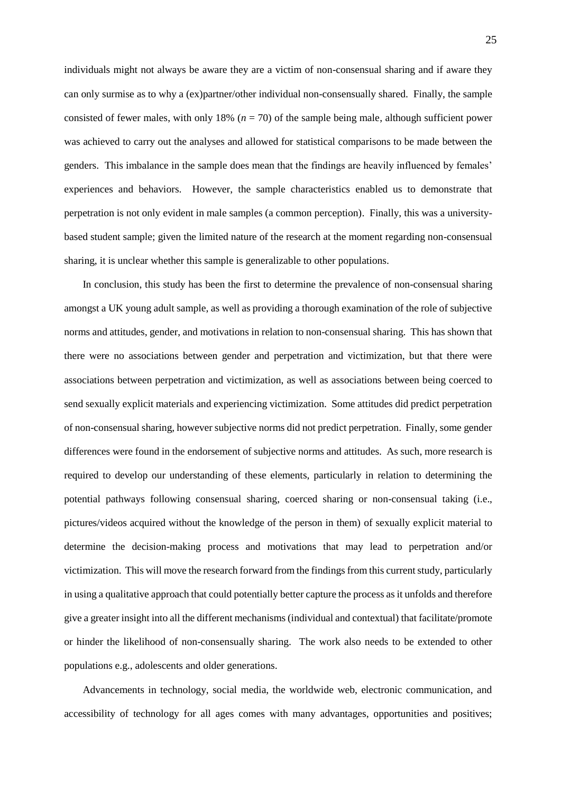individuals might not always be aware they are a victim of non-consensual sharing and if aware they can only surmise as to why a (ex)partner/other individual non-consensually shared. Finally, the sample consisted of fewer males, with only 18% (*n* = 70) of the sample being male, although sufficient power was achieved to carry out the analyses and allowed for statistical comparisons to be made between the genders. This imbalance in the sample does mean that the findings are heavily influenced by females' experiences and behaviors. However, the sample characteristics enabled us to demonstrate that perpetration is not only evident in male samples (a common perception). Finally, this was a universitybased student sample; given the limited nature of the research at the moment regarding non-consensual sharing, it is unclear whether this sample is generalizable to other populations.

In conclusion, this study has been the first to determine the prevalence of non-consensual sharing amongst a UK young adult sample, as well as providing a thorough examination of the role of subjective norms and attitudes, gender, and motivations in relation to non-consensual sharing. This has shown that there were no associations between gender and perpetration and victimization, but that there were associations between perpetration and victimization, as well as associations between being coerced to send sexually explicit materials and experiencing victimization. Some attitudes did predict perpetration of non-consensual sharing, however subjective norms did not predict perpetration. Finally, some gender differences were found in the endorsement of subjective norms and attitudes. As such, more research is required to develop our understanding of these elements, particularly in relation to determining the potential pathways following consensual sharing, coerced sharing or non-consensual taking (i.e., pictures/videos acquired without the knowledge of the person in them) of sexually explicit material to determine the decision-making process and motivations that may lead to perpetration and/or victimization. This will move the research forward from the findings from this current study, particularly in using a qualitative approach that could potentially better capture the process as it unfolds and therefore give a greater insight into all the different mechanisms (individual and contextual) that facilitate/promote or hinder the likelihood of non-consensually sharing. The work also needs to be extended to other populations e.g., adolescents and older generations.

Advancements in technology, social media, the worldwide web, electronic communication, and accessibility of technology for all ages comes with many advantages, opportunities and positives;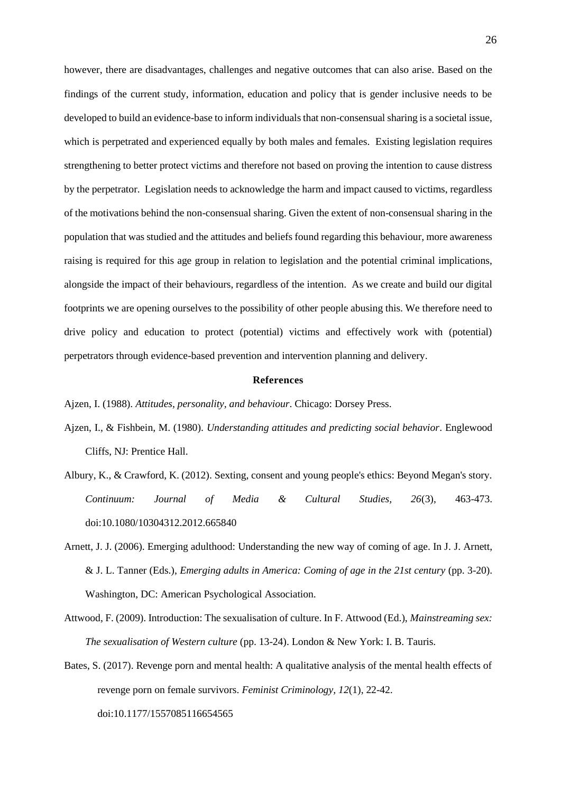however, there are disadvantages, challenges and negative outcomes that can also arise. Based on the findings of the current study, information, education and policy that is gender inclusive needs to be developed to build an evidence-base to inform individuals that non-consensual sharing is a societal issue, which is perpetrated and experienced equally by both males and females. Existing legislation requires strengthening to better protect victims and therefore not based on proving the intention to cause distress by the perpetrator. Legislation needs to acknowledge the harm and impact caused to victims, regardless of the motivations behind the non-consensual sharing. Given the extent of non-consensual sharing in the population that was studied and the attitudes and beliefs found regarding this behaviour, more awareness raising is required for this age group in relation to legislation and the potential criminal implications, alongside the impact of their behaviours, regardless of the intention. As we create and build our digital footprints we are opening ourselves to the possibility of other people abusing this. We therefore need to drive policy and education to protect (potential) victims and effectively work with (potential) perpetrators through evidence-based prevention and intervention planning and delivery.

#### **References**

Ajzen, I. (1988). *Attitudes, personality, and behaviour*. Chicago: Dorsey Press.

- Ajzen, I., & Fishbein, M. (1980). *Understanding attitudes and predicting social behavior*. Englewood Cliffs, NJ: Prentice Hall.
- Albury, K., & Crawford, K. (2012). Sexting, consent and young people's ethics: Beyond Megan's story. *Continuum: Journal of Media & Cultural Studies, 26*(3), 463-473. doi:10.1080/10304312.2012.665840
- Arnett, J. J. (2006). Emerging adulthood: Understanding the new way of coming of age. In J. J. Arnett, & J. L. Tanner (Eds.), *Emerging adults in America: Coming of age in the 21st century* (pp. 3-20). Washington, DC: American Psychological Association.
- Attwood, F. (2009). Introduction: The sexualisation of culture. In F. Attwood (Ed.), *Mainstreaming sex: The sexualisation of Western culture* (pp. 13-24). London & New York: I. B. Tauris.
- Bates, S. (2017). Revenge porn and mental health: A qualitative analysis of the mental health effects of revenge porn on female survivors. *Feminist Criminology, 12*(1), 22-42. doi:10.1177/1557085116654565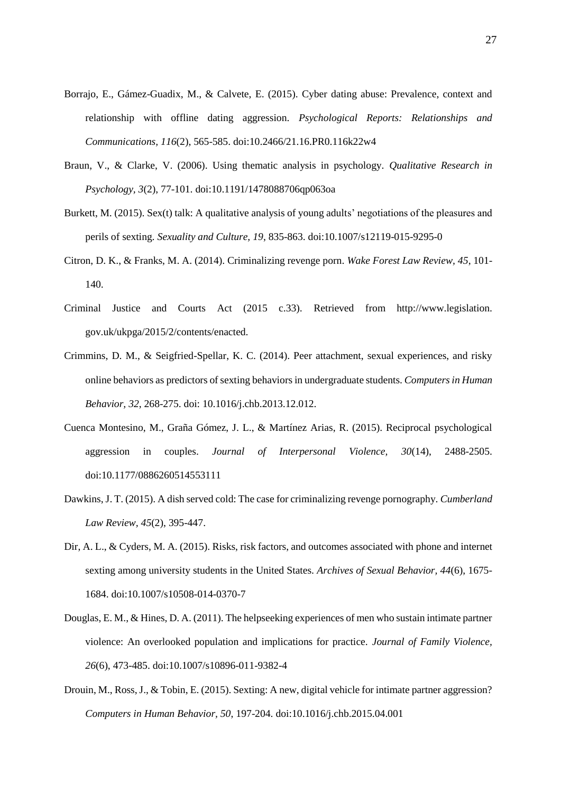- Borrajo, E., Gámez-Guadix, M., & Calvete, E. (2015). Cyber dating abuse: Prevalence, context and relationship with offline dating aggression. *Psychological Reports: Relationships and Communications, 116*(2), 565-585. doi:10.2466/21.16.PR0.116k22w4
- Braun, V., & Clarke, V. (2006). Using thematic analysis in psychology. *Qualitative Research in Psychology, 3*(2), 77-101. doi:10.1191/1478088706qp063oa
- Burkett, M. (2015). Sex(t) talk: A qualitative analysis of young adults' negotiations of the pleasures and perils of sexting. *Sexuality and Culture, 19*, 835-863. doi:10.1007/s12119-015-9295-0
- Citron, D. K., & Franks, M. A. (2014). Criminalizing revenge porn. *Wake Forest Law Review, 45*, 101- 140.
- Criminal Justice and Courts Act (2015 c.33). Retrieved from http://www.legislation. gov.uk/ukpga/2015/2/contents/enacted.
- Crimmins, D. M., & Seigfried-Spellar, K. C. (2014). Peer attachment, sexual experiences, and risky online behaviors as predictors of sexting behaviors in undergraduate students. *Computers in Human Behavior, 32*, 268-275. doi: 10.1016/j.chb.2013.12.012.
- Cuenca Montesino, M., Graña Gómez, J. L., & Martínez Arias, R. (2015). Reciprocal psychological aggression in couples. *Journal of Interpersonal Violence, 30*(14), 2488-2505. doi:10.1177/0886260514553111
- Dawkins, J. T. (2015). A dish served cold: The case for criminalizing revenge pornography. *Cumberland Law Review, 45*(2), 395-447.
- Dir, A. L., & Cyders, M. A. (2015). Risks, risk factors, and outcomes associated with phone and internet sexting among university students in the United States. *Archives of Sexual Behavior, 44*(6), 1675- 1684. doi:10.1007/s10508-014-0370-7
- Douglas, E. M., & Hines, D. A. (2011). The helpseeking experiences of men who sustain intimate partner violence: An overlooked population and implications for practice. *Journal of Family Violence, 26*(6), 473-485. doi:10.1007/s10896-011-9382-4
- Drouin, M., Ross, J., & Tobin, E. (2015). Sexting: A new, digital vehicle for intimate partner aggression? *Computers in Human Behavior, 50*, 197-204. doi:10.1016/j.chb.2015.04.001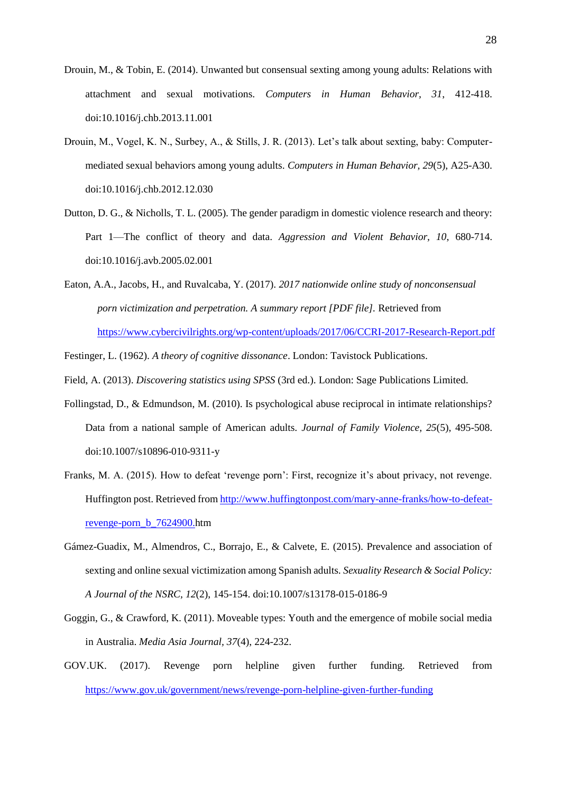- Drouin, M., & Tobin, E. (2014). Unwanted but consensual sexting among young adults: Relations with attachment and sexual motivations. *Computers in Human Behavior, 31*, 412-418. doi:10.1016/j.chb.2013.11.001
- Drouin, M., Vogel, K. N., Surbey, A., & Stills, J. R. (2013). Let's talk about sexting, baby: Computermediated sexual behaviors among young adults. *Computers in Human Behavior, 29*(5), A25-A30. doi:10.1016/j.chb.2012.12.030
- Dutton, D. G., & Nicholls, T. L. (2005). The gender paradigm in domestic violence research and theory: Part 1—The conflict of theory and data. *Aggression and Violent Behavior, 10*, 680-714. doi:10.1016/j.avb.2005.02.001
- Eaton, A.A., Jacobs, H., and Ruvalcaba, Y. (2017). *2017 nationwide online study of nonconsensual porn victimization and perpetration. A summary report [PDF file].* Retrieved from <https://www.cybercivilrights.org/wp-content/uploads/2017/06/CCRI-2017-Research-Report.pdf>
- Festinger, L. (1962). *A theory of cognitive dissonance*. London: Tavistock Publications.
- Field, A. (2013). *Discovering statistics using SPSS* (3rd ed.). London: Sage Publications Limited.
- Follingstad, D., & Edmundson, M. (2010). Is psychological abuse reciprocal in intimate relationships? Data from a national sample of American adults. *Journal of Family Violence, 25*(5), 495-508. doi:10.1007/s10896-010-9311-y
- Franks, M. A. (2015). How to defeat 'revenge porn': First, recognize it's about privacy, not revenge. Huffington post. Retrieved fro[m http://www.huffingtonpost.com/mary-anne-franks/how-to-defeat](http://www.huffingtonpost.com/mary-anne-franks/how-to-defeat-revenge-porn_b_7624900.)[revenge-porn\\_b\\_7624900.h](http://www.huffingtonpost.com/mary-anne-franks/how-to-defeat-revenge-porn_b_7624900.)tm
- Gámez-Guadix, M., Almendros, C., Borrajo, E., & Calvete, E. (2015). Prevalence and association of sexting and online sexual victimization among Spanish adults. *Sexuality Research & Social Policy: A Journal of the NSRC, 12*(2), 145-154. doi:10.1007/s13178-015-0186-9
- Goggin, G., & Crawford, K. (2011). Moveable types: Youth and the emergence of mobile social media in Australia. *Media Asia Journal, 37*(4), 224-232.
- GOV.UK. (2017). Revenge porn helpline given further funding. Retrieved from <https://www.gov.uk/government/news/revenge-porn-helpline-given-further-funding>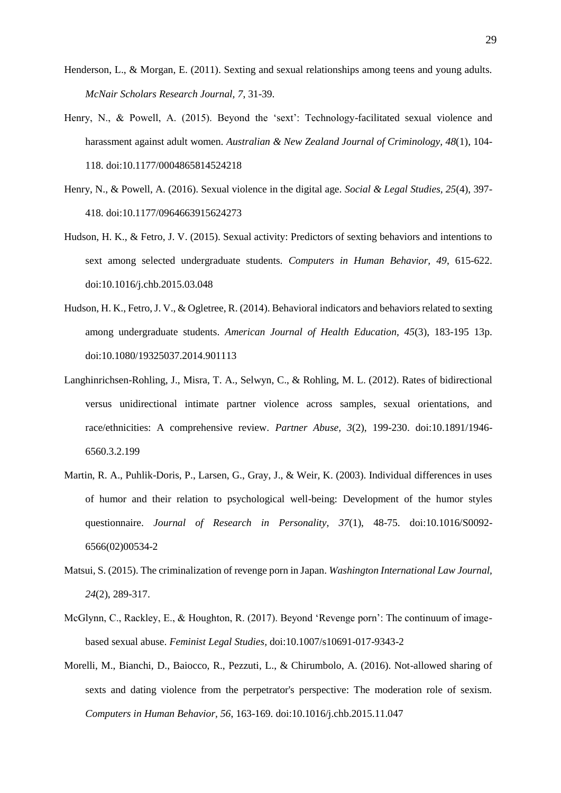- Henderson, L., & Morgan, E. (2011). Sexting and sexual relationships among teens and young adults. *McNair Scholars Research Journal, 7*, 31-39.
- Henry, N., & Powell, A. (2015). Beyond the 'sext': Technology-facilitated sexual violence and harassment against adult women. *Australian & New Zealand Journal of Criminology, 48*(1), 104- 118. doi:10.1177/0004865814524218
- Henry, N., & Powell, A. (2016). Sexual violence in the digital age. *Social & Legal Studies, 25*(4), 397- 418. doi:10.1177/0964663915624273
- Hudson, H. K., & Fetro, J. V. (2015). Sexual activity: Predictors of sexting behaviors and intentions to sext among selected undergraduate students. *Computers in Human Behavior, 49*, 615-622. doi:10.1016/j.chb.2015.03.048
- Hudson, H. K., Fetro, J. V., & Ogletree, R. (2014). Behavioral indicators and behaviors related to sexting among undergraduate students. *American Journal of Health Education, 45*(3), 183-195 13p. doi:10.1080/19325037.2014.901113
- Langhinrichsen-Rohling, J., Misra, T. A., Selwyn, C., & Rohling, M. L. (2012). Rates of bidirectional versus unidirectional intimate partner violence across samples, sexual orientations, and race/ethnicities: A comprehensive review. *Partner Abuse, 3*(2), 199-230. doi:10.1891/1946- 6560.3.2.199
- Martin, R. A., Puhlik-Doris, P., Larsen, G., Gray, J., & Weir, K. (2003). Individual differences in uses of humor and their relation to psychological well-being: Development of the humor styles questionnaire. *Journal of Research in Personality, 37*(1), 48-75. doi:10.1016/S0092- 6566(02)00534-2
- Matsui, S. (2015). The criminalization of revenge porn in Japan. *Washington International Law Journal, 24*(2), 289-317.
- McGlynn, C., Rackley, E., & Houghton, R. (2017). Beyond 'Revenge porn': The continuum of imagebased sexual abuse. *Feminist Legal Studies,* doi:10.1007/s10691-017-9343-2
- Morelli, M., Bianchi, D., Baiocco, R., Pezzuti, L., & Chirumbolo, A. (2016). Not-allowed sharing of sexts and dating violence from the perpetrator's perspective: The moderation role of sexism. *Computers in Human Behavior, 56*, 163-169. doi:10.1016/j.chb.2015.11.047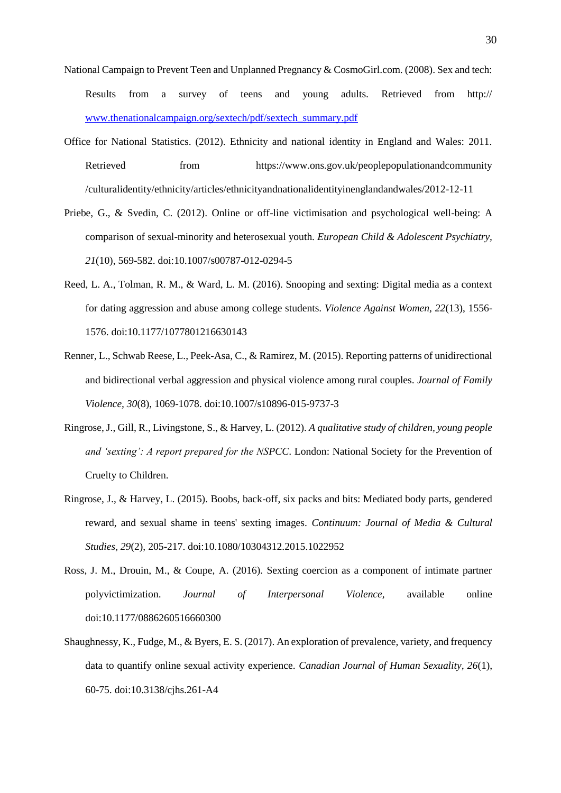- National Campaign to Prevent Teen and Unplanned Pregnancy & CosmoGirl.com. (2008). Sex and tech: Results from a survey of teens and young adults. Retrieved from http:// [www.thenationalcampaign.org/sextech/pdf/sextech\\_summary.pdf](http://www.thenationalcampaign.org/sextech/pdf/sextech_summary.pdf)
- Office for National Statistics. (2012). Ethnicity and national identity in England and Wales: 2011. Retrieved from https://www.ons.gov.uk/peoplepopulationandcommunity /culturalidentity/ethnicity/articles/ethnicityandnationalidentityinenglandandwales/2012-12-11
- Priebe, G., & Svedin, C. (2012). Online or off-line victimisation and psychological well-being: A comparison of sexual-minority and heterosexual youth. *European Child & Adolescent Psychiatry, 21*(10), 569-582. doi:10.1007/s00787-012-0294-5
- Reed, L. A., Tolman, R. M., & Ward, L. M. (2016). Snooping and sexting: Digital media as a context for dating aggression and abuse among college students. *Violence Against Women, 22*(13), 1556- 1576. doi:10.1177/1077801216630143
- Renner, L., Schwab Reese, L., Peek-Asa, C., & Ramirez, M. (2015). Reporting patterns of unidirectional and bidirectional verbal aggression and physical violence among rural couples. *Journal of Family Violence, 30*(8), 1069-1078. doi:10.1007/s10896-015-9737-3
- Ringrose, J., Gill, R., Livingstone, S., & Harvey, L. (2012). *A qualitative study of children, young people and 'sexting': A report prepared for the NSPCC*. London: National Society for the Prevention of Cruelty to Children.
- Ringrose, J., & Harvey, L. (2015). Boobs, back-off, six packs and bits: Mediated body parts, gendered reward, and sexual shame in teens' sexting images. *Continuum: Journal of Media & Cultural Studies, 29*(2), 205-217. doi:10.1080/10304312.2015.1022952
- Ross, J. M., Drouin, M., & Coupe, A. (2016). Sexting coercion as a component of intimate partner polyvictimization. *Journal of Interpersonal Violence,* available online doi:10.1177/0886260516660300
- Shaughnessy, K., Fudge, M., & Byers, E. S. (2017). An exploration of prevalence, variety, and frequency data to quantify online sexual activity experience. *Canadian Journal of Human Sexuality, 26*(1), 60-75. doi:10.3138/cjhs.261-A4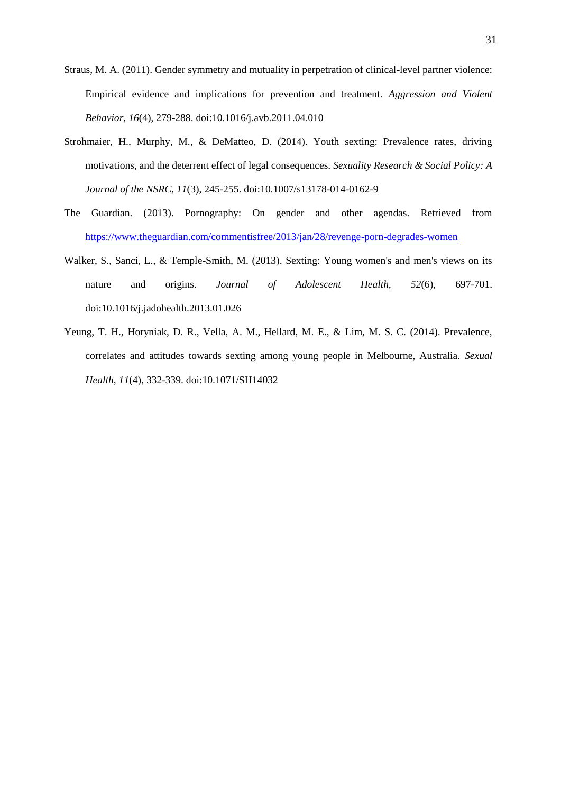- Straus, M. A. (2011). Gender symmetry and mutuality in perpetration of clinical-level partner violence: Empirical evidence and implications for prevention and treatment. *Aggression and Violent Behavior, 16*(4), 279-288. doi:10.1016/j.avb.2011.04.010
- Strohmaier, H., Murphy, M., & DeMatteo, D. (2014). Youth sexting: Prevalence rates, driving motivations, and the deterrent effect of legal consequences. *Sexuality Research & Social Policy: A Journal of the NSRC, 11*(3), 245-255. doi:10.1007/s13178-014-0162-9
- The Guardian. (2013). Pornography: On gender and other agendas. Retrieved from <https://www.theguardian.com/commentisfree/2013/jan/28/revenge-porn-degrades-women>
- Walker, S., Sanci, L., & Temple-Smith, M. (2013). Sexting: Young women's and men's views on its nature and origins. *Journal of Adolescent Health, 52*(6), 697-701. doi:10.1016/j.jadohealth.2013.01.026
- Yeung, T. H., Horyniak, D. R., Vella, A. M., Hellard, M. E., & Lim, M. S. C. (2014). Prevalence, correlates and attitudes towards sexting among young people in Melbourne, Australia. *Sexual Health, 11*(4), 332-339. doi:10.1071/SH14032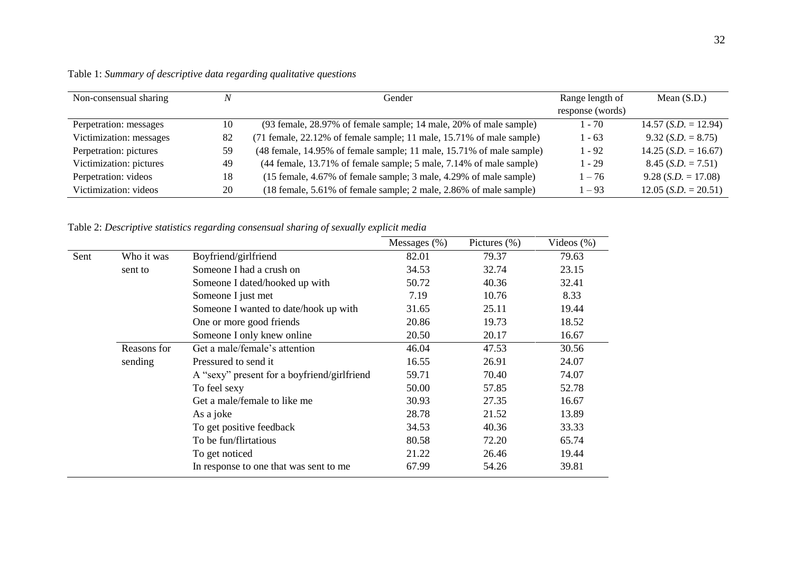| Non-consensual sharing  | N  | Gender                                                               | Range length of  | Mean $(S.D.)$                 |
|-------------------------|----|----------------------------------------------------------------------|------------------|-------------------------------|
|                         |    |                                                                      | response (words) |                               |
| Perpetration: messages  | 10 | (93 female, 28.97% of female sample; 14 male, 20% of male sample)    | $1 - 70$         | $14.57$ (S.D. = 12.94)        |
| Victimization: messages | 82 | (71 female, 22.12% of female sample; 11 male, 15.71% of male sample) | $1 - 63$         | $9.32$ (S.D. = 8.75)          |
| Perpetration: pictures  | 59 | (48 female, 14.95% of female sample; 11 male, 15.71% of male sample) | $1 - 92$         | $14.25$ (S.D. = 16.67)        |
| Victimization: pictures | 49 | (44 female, 13.71% of female sample; 5 male, 7.14% of male sample)   | $1 - 29$         | $8.45$ (S.D. = 7.51)          |
| Perpetration: videos    | 18 | (15 female, 4.67% of female sample; 3 male, 4.29% of male sample)    | $1 - 76$         | $9.28$ ( <i>S.D.</i> = 17.08) |
| Victimization: videos   | 20 | (18 female, 5.61% of female sample; 2 male, 2.86% of male sample)    | $1 - 93$         | $12.05$ $(S.D. = 20.51)$      |

Table 1: *Summary of descriptive data regarding qualitative questions* 

Table 2: *Descriptive statistics regarding consensual sharing of sexually explicit media*

|      |             |                                             | Messages $(\%)$ | Pictures $(\%)$ | Videos $(\%)$ |
|------|-------------|---------------------------------------------|-----------------|-----------------|---------------|
| Sent | Who it was  | Boyfriend/girlfriend                        | 82.01           | 79.37           | 79.63         |
|      | sent to     | Someone I had a crush on                    | 34.53           | 32.74           | 23.15         |
|      |             | Someone I dated/hooked up with              | 50.72           | 40.36           | 32.41         |
|      |             | Someone I just met                          | 7.19            | 10.76           | 8.33          |
|      |             | Someone I wanted to date/hook up with       | 31.65           | 25.11           | 19.44         |
|      |             | One or more good friends                    | 20.86           | 19.73           | 18.52         |
|      |             | Someone I only knew online                  | 20.50           | 20.17           | 16.67         |
|      | Reasons for | Get a male/female's attention               | 46.04           | 47.53           | 30.56         |
|      | sending     | Pressured to send it                        | 16.55           | 26.91           | 24.07         |
|      |             | A "sexy" present for a boyfriend/girlfriend | 59.71           | 70.40           | 74.07         |
|      |             | To feel sexy                                | 50.00           | 57.85           | 52.78         |
|      |             | Get a male/female to like me                | 30.93           | 27.35           | 16.67         |
|      |             | As a joke                                   | 28.78           | 21.52           | 13.89         |
|      |             | To get positive feedback                    | 34.53           | 40.36           | 33.33         |
|      |             | To be fun/flirtatious                       | 80.58           | 72.20           | 65.74         |
|      |             | To get noticed                              | 21.22           | 26.46           | 19.44         |
|      |             | In response to one that was sent to me      | 67.99           | 54.26           | 39.81         |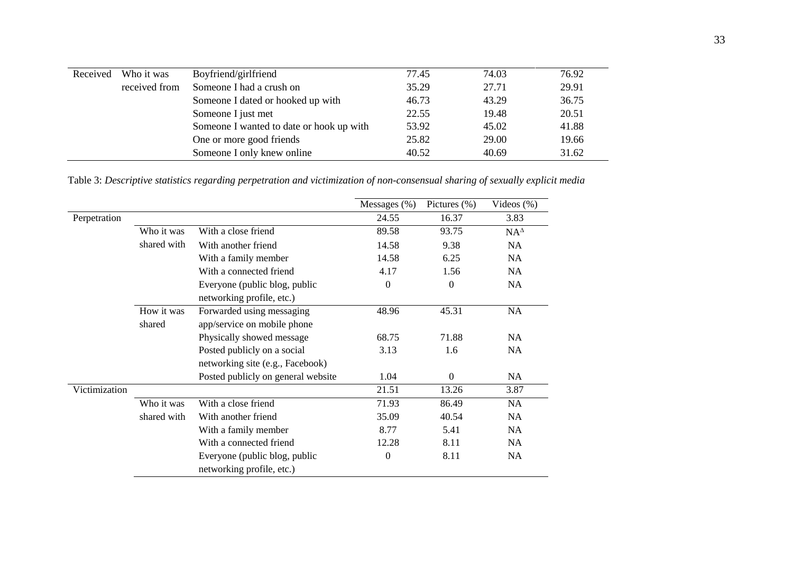| Received | Who it was    | Boyfriend/girlfriend                     | 77.45 | 74.03 | 76.92 |
|----------|---------------|------------------------------------------|-------|-------|-------|
|          | received from | Someone I had a crush on                 | 35.29 | 27.71 | 29.91 |
|          |               | Someone I dated or hooked up with        | 46.73 | 43.29 | 36.75 |
|          |               | Someone I just met                       | 22.55 | 19.48 | 20.51 |
|          |               | Someone I wanted to date or hook up with | 53.92 | 45.02 | 41.88 |
|          |               | One or more good friends                 | 25.82 | 29.00 | 19.66 |
|          |               | Someone I only knew online               | 40.52 | 40.69 | 31.62 |
|          |               |                                          |       |       |       |

Table 3: *Descriptive statistics regarding perpetration and victimization of non-consensual sharing of sexually explicit media*

|               |             |                                    | Messages (%)     | Pictures $(\% )$ | Videos $(\%)$ |
|---------------|-------------|------------------------------------|------------------|------------------|---------------|
| Perpetration  |             |                                    | 24.55            | 16.37            | 3.83          |
|               | Who it was  | With a close friend                | 89.58            | 93.75            | $NA^{\Delta}$ |
|               | shared with | With another friend                | 14.58            | 9.38             | <b>NA</b>     |
|               |             | With a family member               | 14.58            | 6.25             | <b>NA</b>     |
|               |             | With a connected friend            | 4.17             | 1.56             | <b>NA</b>     |
|               |             | Everyone (public blog, public      | $\overline{0}$   | $\boldsymbol{0}$ | <b>NA</b>     |
|               |             | networking profile, etc.)          |                  |                  |               |
|               | How it was  | Forwarded using messaging          | 48.96            | 45.31            | <b>NA</b>     |
|               | shared      | app/service on mobile phone        |                  |                  |               |
|               |             | Physically showed message          | 68.75            | 71.88            | NA            |
|               |             | Posted publicly on a social        | 3.13             | 1.6              | <b>NA</b>     |
|               |             | networking site (e.g., Facebook)   |                  |                  |               |
|               |             | Posted publicly on general website | 1.04             | $\mathbf{0}$     | NA            |
| Victimization |             |                                    | 21.51            | 13.26            | 3.87          |
|               | Who it was  | With a close friend                | 71.93            | 86.49            | <b>NA</b>     |
|               | shared with | With another friend                | 35.09            | 40.54            | NA            |
|               |             | With a family member               | 8.77             | 5.41             | <b>NA</b>     |
|               |             | With a connected friend            | 12.28            | 8.11             | NA.           |
|               |             | Everyone (public blog, public      | $\boldsymbol{0}$ | 8.11             | NA            |
|               |             | networking profile, etc.)          |                  |                  |               |